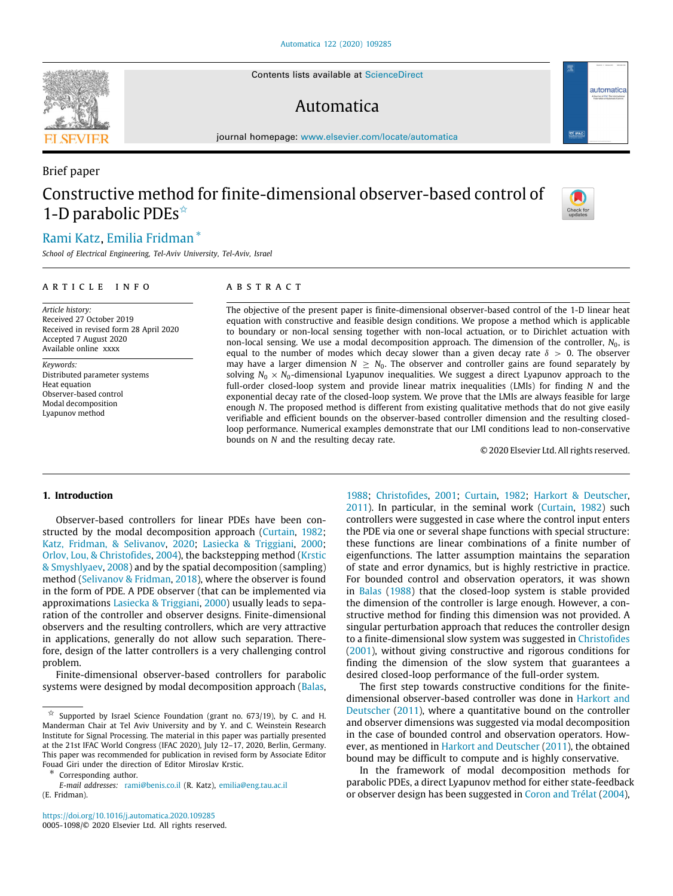Contents lists available at [ScienceDirect](http://www.elsevier.com/locate/automatica)

# Automatica

journal homepage: [www.elsevier.com/locate/automatica](http://www.elsevier.com/locate/automatica)

# Brief paper Constructive method for finite-dimensional observer-based control of 1-D parabolic PDEs $\hat{z}$

# [Rami](#page-8-0) [Katz](#page-8-0), [Emilia](#page-9-0) [Fridman](#page-9-0) [∗](#page-0-1)

*School of Electrical Engineering, Tel-Aviv University, Tel-Aviv, Israel*

### a r t i c l e i n f o

*Article history:* Received 27 October 2019 Received in revised form 28 April 2020 Accepted 7 August 2020 Available online xxxx

*Keywords:* Distributed parameter systems Heat equation Observer-based control Modal decomposition Lyapunov method

# A B S T R A C T

The objective of the present paper is finite-dimensional observer-based control of the 1-D linear heat equation with constructive and feasible design conditions. We propose a method which is applicable to boundary or non-local sensing together with non-local actuation, or to Dirichlet actuation with non-local sensing. We use a modal decomposition approach. The dimension of the controller,  $N_0$ , is equal to the number of modes which decay slower than a given decay rate  $\delta > 0$ . The observer may have a larger dimension  $N \geq N_0$ . The observer and controller gains are found separately by solving  $N_0 \times N_0$ -dimensional Lyapunov inequalities. We suggest a direct Lyapunov approach to the full-order closed-loop system and provide linear matrix inequalities (LMIs) for finding *N* and the exponential decay rate of the closed-loop system. We prove that the LMIs are always feasible for large enough *N*. The proposed method is different from existing qualitative methods that do not give easily verifiable and efficient bounds on the observer-based controller dimension and the resulting closedloop performance. Numerical examples demonstrate that our LMI conditions lead to non-conservative bounds on *N* and the resulting decay rate.

© 2020 Elsevier Ltd. All rights reserved.

## **1. Introduction**

Observer-based controllers for linear PDEs have been constructed by the modal decomposition approach ([Curtain,](#page-8-1) [1982;](#page-8-1) [Katz, Fridman, & Selivanov](#page-8-2), [2020](#page-8-2); [Lasiecka & Triggiani](#page-8-3), [2000;](#page-8-3) [Orlov, Lou, & Christofides,](#page-8-4) [2004](#page-8-4)), the backstepping method ([Krstic](#page-8-5) [& Smyshlyaev,](#page-8-5) [2008](#page-8-5)) and by the spatial decomposition (sampling) method ([Selivanov & Fridman](#page-8-6), [2018\)](#page-8-6), where the observer is found in the form of PDE. A PDE observer (that can be implemented via approximations [Lasiecka & Triggiani,](#page-8-3) [2000](#page-8-3)) usually leads to separation of the controller and observer designs. Finite-dimensional observers and the resulting controllers, which are very attractive in applications, generally do not allow such separation. Therefore, design of the latter controllers is a very challenging control problem.

Finite-dimensional observer-based controllers for parabolic systems were designed by modal decomposition approach ([Balas,](#page-8-7)

<span id="page-0-1"></span>∗ Corresponding author.

<https://doi.org/10.1016/j.automatica.2020.109285> 0005-1098/© 2020 Elsevier Ltd. All rights reserved.

[1988;](#page-8-7) [Christofides,](#page-8-8) [2001](#page-8-8); [Curtain,](#page-8-1) [1982](#page-8-1); [Harkort & Deutscher,](#page-8-9) [2011\)](#page-8-9). In particular, in the seminal work [\(Curtain,](#page-8-1) [1982\)](#page-8-1) such controllers were suggested in case where the control input enters the PDE via one or several shape functions with special structure: these functions are linear combinations of a finite number of eigenfunctions. The latter assumption maintains the separation of state and error dynamics, but is highly restrictive in practice. For bounded control and observation operators, it was shown in [Balas](#page-8-7) ([1988](#page-8-7)) that the closed-loop system is stable provided the dimension of the controller is large enough. However, a constructive method for finding this dimension was not provided. A singular perturbation approach that reduces the controller design to a finite-dimensional slow system was suggested in [Christofides](#page-8-8) ([2001\)](#page-8-8), without giving constructive and rigorous conditions for finding the dimension of the slow system that guarantees a desired closed-loop performance of the full-order system.

The first step towards constructive conditions for the finitedimensional observer-based controller was done in [Harkort and](#page-8-9) [Deutscher](#page-8-9) ([2011\)](#page-8-9), where a quantitative bound on the controller and observer dimensions was suggested via modal decomposition in the case of bounded control and observation operators. However, as mentioned in [Harkort and Deutscher](#page-8-9) [\(2011](#page-8-9)), the obtained bound may be difficult to compute and is highly conservative.

In the framework of modal decomposition methods for parabolic PDEs, a direct Lyapunov method for either state-feedback or observer design has been suggested in [Coron and Trélat](#page-8-10) [\(2004\)](#page-8-10),







<span id="page-0-0"></span> $\overrightarrow{x}$  Supported by Israel Science Foundation (grant no. 673/19), by C. and H. Manderman Chair at Tel Aviv University and by Y. and C. Weinstein Research Institute for Signal Processing. The material in this paper was partially presented at the 21st IFAC World Congress (IFAC 2020), July 12–17, 2020, Berlin, Germany. This paper was recommended for publication in revised form by Associate Editor Fouad Giri under the direction of Editor Miroslav Krstic.

*E-mail addresses:* [rami@benis.co.il](mailto:rami@benis.co.il) (R. Katz), [emilia@eng.tau.ac.il](mailto:emilia@eng.tau.ac.il) (E. Fridman).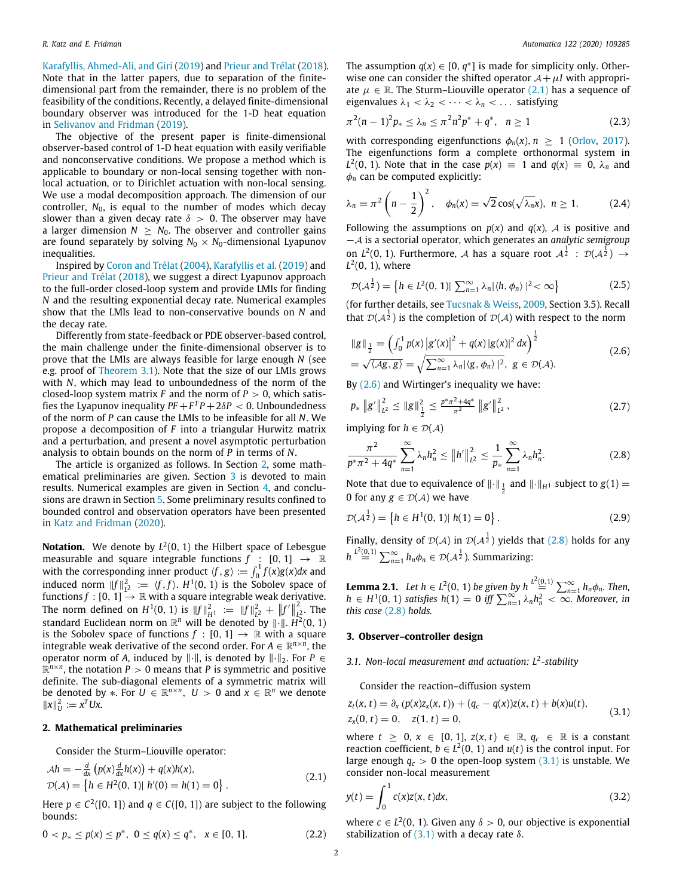[Karafyllis, Ahmed-Ali, and Giri](#page-8-11) ([2019](#page-8-11)) and [Prieur and Trélat](#page-8-12) ([2018](#page-8-12)). Note that in the latter papers, due to separation of the finitedimensional part from the remainder, there is no problem of the feasibility of the conditions. Recently, a delayed finite-dimensional boundary observer was introduced for the 1-D heat equation in [Selivanov and Fridman](#page-8-13) [\(2019](#page-8-13)).

The objective of the present paper is finite-dimensional observer-based control of 1-D heat equation with easily verifiable and nonconservative conditions. We propose a method which is applicable to boundary or non-local sensing together with nonlocal actuation, or to Dirichlet actuation with non-local sensing. We use a modal decomposition approach. The dimension of our controller,  $N_0$ , is equal to the number of modes which decay slower than a given decay rate  $\delta > 0$ . The observer may have a larger dimension  $N \geq N_0$ . The observer and controller gains are found separately by solving  $N_0 \times N_0$ -dimensional Lyapunov inequalities.

Inspired by [Coron and Trélat](#page-8-10) ([2004](#page-8-10)), [Karafyllis et al.](#page-8-11) [\(2019](#page-8-11)) and [Prieur and Trélat](#page-8-12) ([2018\)](#page-8-12), we suggest a direct Lyapunov approach to the full-order closed-loop system and provide LMIs for finding *N* and the resulting exponential decay rate. Numerical examples show that the LMIs lead to non-conservative bounds on *N* and the decay rate.

Differently from state-feedback or PDE observer-based control, the main challenge under the finite-dimensional observer is to prove that the LMIs are always feasible for large enough *N* (see e.g. proof of [Theorem](#page-3-0) [3.1](#page-3-0)). Note that the size of our LMIs grows with *N*, which may lead to unboundedness of the norm of the closed-loop system matrix  $F$  and the norm of  $P > 0$ , which satisfies the Lyapunov inequality  $PF + F^T P + 2\delta P < 0$ . Unboundedness of the norm of *P* can cause the LMIs to be infeasible for all *N*. We propose a decomposition of *F* into a triangular Hurwitz matrix and a perturbation, and present a novel asymptotic perturbation analysis to obtain bounds on the norm of *P* in terms of *N*.

The article is organized as follows. In Section [2](#page-1-0), some math-ematical preliminaries are given. Section [3](#page-1-1) is devoted to main results. Numerical examples are given in Section [4](#page-7-0), and conclusions are drawn in Section [5](#page-8-14). Some preliminary results confined to bounded control and observation operators have been presented in [Katz and Fridman](#page-8-15) [\(2020\)](#page-8-15).

**Notation.** We denote by *L* 2 (0, 1) the Hilbert space of Lebesgue measurable and square integrable functions  $f : [0, 1] \rightarrow \mathbb{R}$ with the corresponding inner product  $\langle f, g \rangle := \int_0^1 f(x)g(x)dx$  and induced norm  $||f||_{L^2}^2 := \langle f, f \rangle$ . *H*<sup>1</sup>(0, 1) is the Sobolev space of functions  $f : [0, 1] \xrightarrow{\iota} \mathbb{R}$  with a square integrable weak derivative. The norm defined on  $H^1(0, 1)$  is  $||f||_H^2 = ||f||_L^2 + ||f'||_L^2$  $\frac{1}{L_2^2}$ . The standard Euclidean norm on  $\mathbb{R}^n$  will be denoted by  $\|\cdot\|$ .  $\ddot{H}^2(0,1)$ is the Sobolev space of functions  $f : [0, 1] \rightarrow \mathbb{R}$  with a square integrable weak derivative of the second order. For  $A \in \mathbb{R}^{n \times n}$ , the operator norm of *A*, induced by  $\|\cdot\|$ , is denoted by  $\|\cdot\|_2$ . For *P* ∈  $\mathbb{R}^{n \times n}$ , the notation *P* > 0 means that *P* is symmetric and positive definite. The sub-diagonal elements of a symmetric matrix will be denoted by  $*$ . For  $U \in \mathbb{R}^{n \times n}$ ,  $U > 0$  and  $x \in \mathbb{R}^n$  we denote  $||x||_U^2 := x^T Ux.$ 

#### **2. Mathematical preliminaries**

<span id="page-1-0"></span>Consider the Sturm–Liouville operator:

$$
\begin{aligned} \mathcal{A}h &= -\frac{d}{dx} \left( p(x) \frac{d}{dx} h(x) \right) + q(x) h(x), \\ \mathcal{D}(\mathcal{A}) &= \left\{ h \in H^2(0, 1) \middle| \ h'(0) = h(1) = 0 \right\}. \end{aligned} \tag{2.1}
$$

Here  $p \in C^2([0, 1])$  and  $q \in C([0, 1])$  are subject to the following bounds:

$$
0 < p_* \le p(x) \le p^*, \ \ 0 \le q(x) \le q^*, \ \ x \in [0, 1]. \tag{2.2}
$$

The assumption  $q(x) \in [0, q^*]$  is made for simplicity only. Otherwise one can consider the shifted operator  $A + \mu I$  with appropriate  $\mu \in \mathbb{R}$ . The Sturm–Liouville operator ([2.1](#page-1-2)) has a sequence of eigenvalues  $\lambda_1 < \lambda_2 < \cdots < \lambda_n < \ldots$  satisfying

<span id="page-1-8"></span>
$$
\pi^2(n-1)^2 p_* \leq \lambda_n \leq \pi^2 n^2 p^* + q^*, \quad n \geq 1 \tag{2.3}
$$

with corresponding eigenfunctions  $\phi_n(x)$ ,  $n \geq 1$  ([Orlov,](#page-8-16) [2017\)](#page-8-16). The eigenfunctions form a complete orthonormal system in  $L^2(0, 1)$ . Note that in the case  $p(x) \equiv 1$  and  $q(x) \equiv 0$ ,  $\lambda_n$  and  $\phi_n$  can be computed explicitly:

<span id="page-1-11"></span>
$$
\lambda_n = \pi^2 \left( n - \frac{1}{2} \right)^2, \quad \phi_n(x) = \sqrt{2} \cos(\sqrt{\lambda_n} x), \quad n \ge 1. \tag{2.4}
$$

Following the assumptions on  $p(x)$  and  $q(x)$ , A is positive and −A is a sectorial operator, which generates an *analytic semigroup* on  $L^2(0, 1)$ . Furthermore, A has a square root  $A^{\frac{1}{2}}$  :  $\mathcal{D}(A^{\frac{1}{2}})$   $\rightarrow$  $L^2(0, 1)$ , where

<span id="page-1-6"></span>
$$
\mathcal{D}(\mathcal{A}^{\frac{1}{2}}) = \left\{ h \in L^{2}(0, 1) | \sum_{n=1}^{\infty} \lambda_{n} |\langle h, \phi_{n} \rangle|^{2} < \infty \right\}
$$
 (2.5)

(for further details, see [Tucsnak & Weiss](#page-8-17), [2009](#page-8-17), Section 3.5). Recall that  $\mathcal{D}(\mathcal{A}^{\frac{1}{2}})$  is the completion of  $\mathcal{D}(\mathcal{A})$  with respect to the norm

<span id="page-1-3"></span>
$$
\|g\|_{\frac{1}{2}} = \left(\int_0^1 p(x) |g'(x)|^2 + q(x) |g(x)|^2 dx\right)^{\frac{1}{2}}
$$
  
=  $\sqrt{\langle Ag, g \rangle} = \sqrt{\sum_{n=1}^\infty \lambda_n |\langle g, \phi_n \rangle|^2}, g \in \mathcal{D}(\mathcal{A}).$  (2.6)

By ([2.6\)](#page-1-3) and Wirtinger's inequality we have:

$$
p_* \|g'\|_{L^2}^2 \le \|g\|_{\frac{1}{2}}^2 \le \frac{p^* \pi^2 + 4q^*}{\pi^2} \|g'\|_{L^2}^2, \qquad (2.7)
$$

implying for  $h \in \mathcal{D}(\mathcal{A})$ 

<span id="page-1-4"></span>
$$
\frac{\pi^2}{p^*\pi^2 + 4q^*} \sum_{n=1}^{\infty} \lambda_n h_n^2 \le \|h'\|_{L^2}^2 \le \frac{1}{p_*} \sum_{n=1}^{\infty} \lambda_n h_n^2. \tag{2.8}
$$

Note that due to equivalence of  $\|\cdot\|_{\frac{1}{2}}$  and  $\|\cdot\|_{H^1}$  subject to  $g(1) =$ 0 for any  $g \in \mathcal{D}(\mathcal{A})$  we have

$$
\mathcal{D}(\mathcal{A}^{\frac{1}{2}}) = \left\{ h \in H^1(0, 1) | h(1) = 0 \right\}.
$$
 (2.9)

Finally, density of  $\mathcal{D}(\mathcal{A})$  in  $\mathcal{D}(\mathcal{A}^{\frac{1}{2}})$  yields that [\(2.8\)](#page-1-4) holds for any  $h \stackrel{L^2(0,1)}{=} \sum_{n=1}^{\infty} h_n \phi_n \in \mathcal{D}(\mathcal{A}^{\frac{1}{2}})$ . Summarizing:

<span id="page-1-10"></span>**Lemma 2.1.** *Let*  $h \in L^2(0, 1)$  *be given by*  $h \stackrel{L^2(0,1)}{\equiv} \sum_{n=1}^{\infty} h_n \phi_n$ *. Then, h* ∈ *H*<sup>1</sup>(0, 1) *satisfies h*(1) = 0 *iff*  $\sum_{n=1}^{\infty} \lambda_n h_n^2 < \infty$ . Moreover, *in this case* [\(2.8\)](#page-1-4) *holds.*

## **3. Observer–controller design**

#### <span id="page-1-1"></span>*3.1. Non-local measurement and actuation: L*<sup>2</sup> *-stability*

<span id="page-1-9"></span><span id="page-1-5"></span>Consider the reaction–diffusion system

$$
z_t(x, t) = \partial_x (p(x)z_x(x, t)) + (q_c - q(x))z(x, t) + b(x)u(t),
$$
  
\n
$$
z_x(0, t) = 0, \quad z(1, t) = 0,
$$
\n(3.1)

where  $t \geq 0$ ,  $x \in [0, 1]$ ,  $z(x, t) \in \mathbb{R}$ ,  $q_c \in \mathbb{R}$  is a constant reaction coefficient,  $b \in L^2(0, 1)$  and  $u(t)$  is the control input. For large enough  $q_c > 0$  the open-loop system  $(3.1)$  is unstable. We consider non-local measurement

<span id="page-1-7"></span><span id="page-1-2"></span>
$$
y(t) = \int_0^1 c(x)z(x, t)dx,
$$
 (3.2)

where  $c \in L^2(0, 1)$ . Given any  $\delta > 0$ , our objective is exponential stabilization of  $(3.1)$  $(3.1)$  $(3.1)$  with a decay rate  $\delta$ .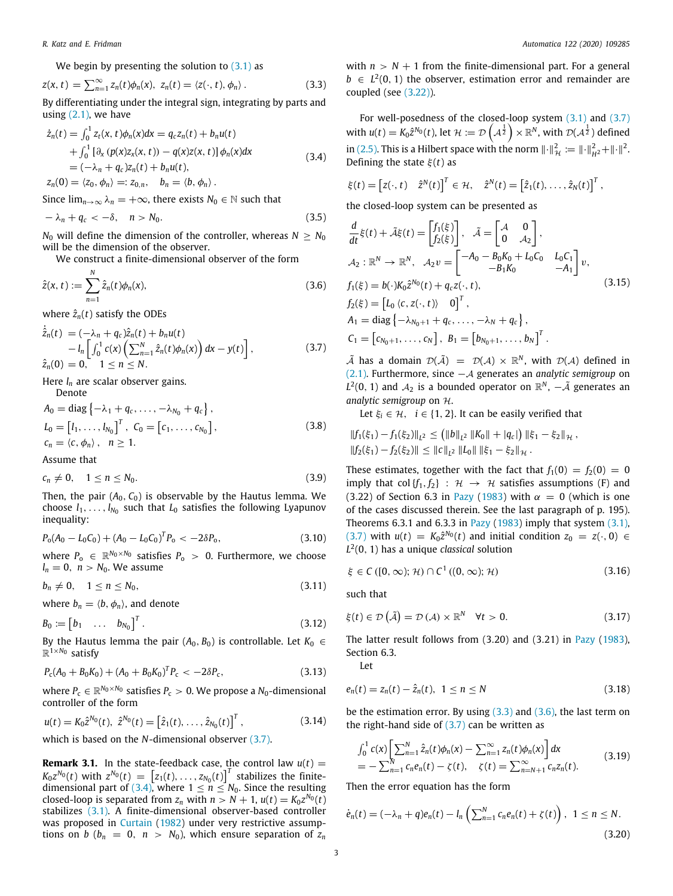We begin by presenting the solution to ([3.1](#page-1-5)) as

$$
z(x, t) = \sum_{n=1}^{\infty} z_n(t) \phi_n(x), \ z_n(t) = \langle z(\cdot, t), \phi_n \rangle. \tag{3.3}
$$

By differentiating under the integral sign, integrating by parts and using  $(2.1)$ , we have

$$
\begin{aligned}\n\dot{z}_n(t) &= \int_0^1 z_t(x, t)\phi_n(x)dx = q_c z_n(t) + b_n u(t) \\
&\quad + \int_0^1 \left[ \partial_x \left( p(x) z_x(x, t) \right) - q(x) z(x, t) \right] \phi_n(x) dx \\
&= (-\lambda_n + q_c) z_n(t) + b_n u(t), \\
z_n(0) &= \langle z_0, \phi_n \rangle =: z_{0,n}, \quad b_n = \langle b, \phi_n \rangle \,.\n\end{aligned} \tag{3.4}
$$

Since  $\lim_{n\to\infty} \lambda_n = +\infty$ , there exists  $N_0 \in \mathbb{N}$  such that

$$
-\lambda_n + q_c < -\delta, \quad n > N_0. \tag{3.5}
$$

*N*<sup>0</sup> will define the dimension of the controller, whereas  $N > N_0$ will be the dimension of the observer.

We construct a finite-dimensional observer of the form

$$
\hat{z}(x,t) := \sum_{n=1}^{N} \hat{z}_n(t)\phi_n(x),
$$
\n(3.6)

where  $\hat{z}_n(t)$  satisfy the ODEs

$$
\dot{\hat{z}}_{n}(t) = (-\lambda_{n} + q_{c})\hat{z}_{n}(t) + b_{n}u(t) \n- l_{n} \left[ \int_{0}^{1} c(x) \left( \sum_{n=1}^{N} \hat{z}_{n}(t) \phi_{n}(x) \right) dx - y(t) \right],
$$
\n(3.7)  
\n
$$
\hat{z}_{n}(0) = 0, \quad 1 \leq n \leq N.
$$

Here *l<sup>n</sup>* are scalar observer gains.

Denote  
\n
$$
A_0 = \text{diag} \{-\lambda_1 + q_c, ..., -\lambda_{N_0} + q_c\},
$$
\n
$$
L_0 = [l_1, ..., l_{N_0}]^T, C_0 = [c_1, ..., c_{N_0}],
$$
\n
$$
c_n = \langle c, \phi_n \rangle, n \ge 1.
$$
\n(3.8)

Assume that

$$
c_n \neq 0, \quad 1 \leq n \leq N_0. \tag{3.9}
$$

Then, the pair  $(A_0, C_0)$  is observable by the Hautus lemma. We choose  $l_1, \ldots, l_{N_0}$  such that  $L_0$  satisfies the following Lyapunov inequality:

$$
P_{o}(A_0 - L_0 C_0) + (A_0 - L_0 C_0)^T P_o < -2\delta P_o,\tag{3.10}
$$

where  $P_{o}$   $\in \mathbb{R}^{N_0 \times N_0}$  satisfies  $P_{o}$  > 0. Furthermore, we choose  $l_n = 0$ ,  $n > N_0$ . We assume

$$
b_n \neq 0, \quad 1 \le n \le N_0,\tag{3.11}
$$

where  $b_n = \langle b, \phi_n \rangle$ , and denote

$$
B_0 := \begin{bmatrix} b_1 & \dots & b_{N_0} \end{bmatrix}^T.
$$
 (3.12)

By the Hautus lemma the pair  $(A_0, B_0)$  is controllable. Let  $K_0 \in$ R <sup>1</sup>×*N*<sup>0</sup> satisfy

$$
P_{\rm c}(A_0 + B_0 K_0) + (A_0 + B_0 K_0)^T P_{\rm c} < -2\delta P_{\rm c},\tag{3.13}
$$

where  $P_{\rm c} \in \mathbb{R}^{N_0 \times N_0}$  satisfies  $P_{\rm c} > 0$ . We propose a  $N_0$ -dimensional controller of the form

$$
u(t) = K_0 \hat{z}^{N_0}(t), \ \hat{z}^{N_0}(t) = \left[\hat{z}_1(t), \dots, \hat{z}_{N_0}(t)\right]^T, \tag{3.14}
$$

which is based on the *N*-dimensional observer [\(3.7\)](#page-2-0).

**Remark 3.1.** In the state-feedback case, the control law  $u(t)$  =  $K_0 z^{N_0}(t)$  with  $z^{N_0}(t) = \left[ z_1(t), \ldots, z_{N_0}(t) \right]^T$  stabilizes the finite-dimensional part of ([3.4](#page-2-1)), where  $1 \leq n \leq N_0$ . Since the resulting closed-loop is separated from  $z_n$  with  $n > N + 1$ ,  $u(t) = K_0 z^{N_0}(t)$ stabilizes ([3.1](#page-1-5)). A finite-dimensional observer-based controller was proposed in [Curtain](#page-8-1) [\(1982\)](#page-8-1) under very restrictive assumptions on *b* ( $b_n = 0$ ,  $n > N_0$ ), which ensure separation of  $z_n$ 

<span id="page-2-2"></span>with  $n > N + 1$  from the finite-dimensional part. For a general  $b \in L^2(0, 1)$  the observer, estimation error and remainder are coupled (see [\(3.22](#page-3-1))).

For well-posedness of the closed-loop system  $(3.1)$  $(3.1)$  and  $(3.7)$ with  $u(t) = K_0 \hat{z}^{N_0}(t)$ , let  $\mathcal{H} := \mathcal{D}\left(A^{\frac{1}{2}}\right) \times \mathbb{R}^N$ , with  $\mathcal{D}(A^{\frac{1}{2}})$  defined in [\(2.5\)](#page-1-6). This is a Hilbert space with the norm  $\|\cdot\|_{\mathcal{H}}^2 := \|\cdot\|_{H^2}^2 + \|\cdot\|^2$ . Defining the state ξ (*t*) as

<span id="page-2-1"></span>
$$
\xi(t) = \begin{bmatrix} z(\cdot,t) & \hat{z}^N(t) \end{bmatrix}^T \in \mathcal{H}, \quad \hat{z}^N(t) = \begin{bmatrix} \hat{z}_1(t), \ldots, \hat{z}_N(t) \end{bmatrix}^T,
$$

<span id="page-2-10"></span>the closed-loop system can be presented as

<span id="page-2-7"></span><span id="page-2-3"></span>
$$
\frac{d}{dt}\xi(t) + \tilde{A}\xi(t) = \begin{bmatrix} f_1(\xi) \\ f_2(\xi) \end{bmatrix}, \quad \tilde{A} = \begin{bmatrix} A & 0 \\ 0 & A_2 \end{bmatrix},
$$
  
\n
$$
A_2 : \mathbb{R}^N \to \mathbb{R}^N, \quad A_2 v = \begin{bmatrix} -A_0 - B_0 K_0 + L_0 C_0 & L_0 C_1 \\ -B_1 K_0 & -A_1 \end{bmatrix} v,
$$
  
\n
$$
f_1(\xi) = b(\cdot) K_0 \hat{z}^{N_0}(t) + q_c z(\cdot, t),
$$
  
\n
$$
f_2(\xi) = \begin{bmatrix} L_0 \langle c, z(\cdot, t) \rangle & 0 \end{bmatrix}^T,
$$
  
\n
$$
A_1 = \text{diag} \{-\lambda_{N_0+1} + q_c, \dots, -\lambda_N + q_c \},
$$
  
\n
$$
C_1 = \begin{bmatrix} c_{N_0+1}, \dots, c_N \end{bmatrix}, B_1 = \begin{bmatrix} b_{N_0+1}, \dots, b_N \end{bmatrix}^T.
$$
 (3.15)

<span id="page-2-0"></span> $\tilde{A}$  has a domain  $\mathcal{D}(\tilde{A}) = \mathcal{D}(A) \times \mathbb{R}^N$ , with  $\mathcal{D}(A)$  defined in ([2.1](#page-1-2)). Furthermore, since −A generates an *analytic semigroup* on  $L^2(0, 1)$  and  $\mathcal{A}_2$  is a bounded operator on  $\mathbb{R}^N$ ,  $-\tilde{\mathcal{A}}$  generates an *analytic semigroup* on H.

Let  $\xi_i \in \mathcal{H}$ ,  $i \in \{1, 2\}$ . It can be easily verified that

<span id="page-2-13"></span>
$$
||f_1(\xi_1) - f_1(\xi_2)||_{L^2} \leq (||b||_{L^2} ||K_0|| + |q_c|) ||\xi_1 - \xi_2||_{\mathcal{H}},
$$
  

$$
||f_2(\xi_1) - f_2(\xi_2)|| \leq ||c||_{L^2} ||L_0|| ||\xi_1 - \xi_2||_{\mathcal{H}}.
$$

<span id="page-2-9"></span>These estimates, together with the fact that  $f_1(0) = f_2(0) = 0$ imply that col  $\{f_1, f_2\}$  :  $\mathcal{H} \rightarrow \mathcal{H}$  satisfies assumptions (F) and (3.22) of Section 6.3 in [Pazy](#page-8-18) [\(1983](#page-8-18)) with  $\alpha = 0$  (which is one of the cases discussed therein. See the last paragraph of p. 195). Theorems 6.3.1 and 6.3.3 in [Pazy](#page-8-18) [\(1983](#page-8-18)) imply that system  $(3.1)$ ,  $(3.7)$  $(3.7)$  $(3.7)$  with  $u(t) = K_0 \hat{z}^{N_0}(t)$  and initial condition  $z_0 = z(\cdot, 0) \in$ *L* 2 (0, 1) has a unique *classical* solution

<span id="page-2-15"></span><span id="page-2-11"></span>
$$
\xi \in C([0,\infty);\mathcal{H}) \cap C^1((0,\infty);\mathcal{H})
$$
\n(3.16)

<span id="page-2-8"></span>such that

$$
\xi(t) \in \mathcal{D}\left(\tilde{\mathcal{A}}\right) = \mathcal{D}\left(\mathcal{A}\right) \times \mathbb{R}^N \quad \forall t > 0. \tag{3.17}
$$

The latter result follows from (3.20) and (3.21) in [Pazy](#page-8-18) [\(1983\)](#page-8-18), Section 6.3.

<span id="page-2-16"></span><span id="page-2-14"></span>Let

<span id="page-2-12"></span>
$$
e_n(t) = z_n(t) - \hat{z}_n(t), \ \ 1 \le n \le N \tag{3.18}
$$

<span id="page-2-4"></span>be the estimation error. By using [\(3.3\)](#page-2-2) and [\(3.6\)](#page-2-3), the last term on the right-hand side of  $(3.7)$  can be written as

<span id="page-2-5"></span>
$$
\int_0^1 c(x) \left[ \sum_{n=1}^N \hat{z}_n(t) \phi_n(x) - \sum_{n=1}^\infty z_n(t) \phi_n(x) \right] dx
$$
\n
$$
= - \sum_{n=1}^N c_n e_n(t) - \zeta(t), \quad \zeta(t) = \sum_{n=N+1}^\infty c_n z_n(t).
$$
\n(3.19)

Then the error equation has the form

<span id="page-2-6"></span>
$$
\dot{e}_n(t) = (-\lambda_n + q)e_n(t) - l_n\left(\sum_{n=1}^N c_n e_n(t) + \zeta(t)\right), \ \ 1 \le n \le N. \tag{3.20}
$$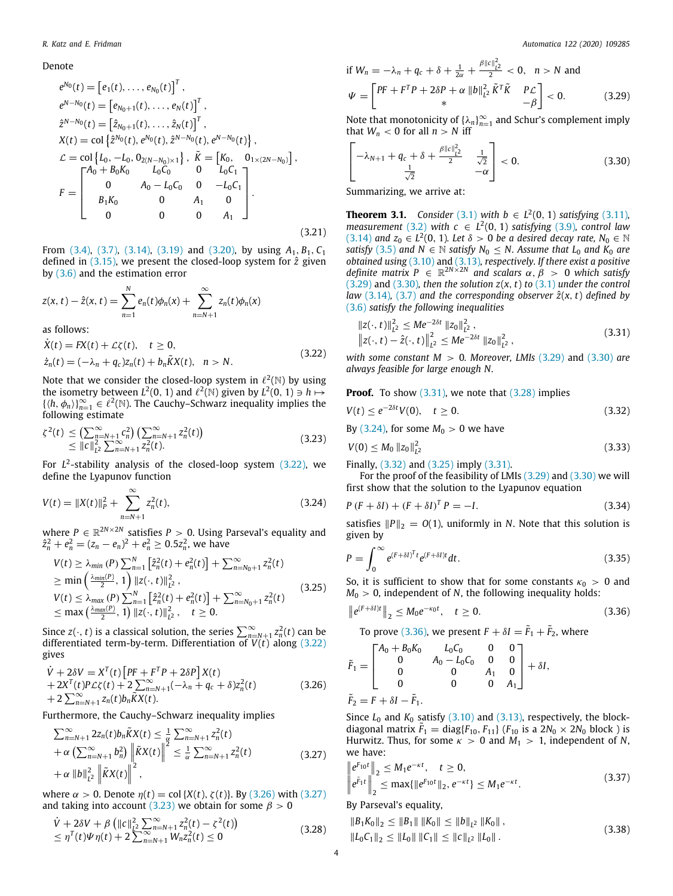#### Denote

$$
e^{N_0}(t) = [e_1(t), ..., e_{N_0}(t)]^T,
$$
  
\n
$$
e^{N-N_0}(t) = [e_{N_0+1}(t), ..., e_N(t)]^T,
$$
  
\n
$$
\hat{z}^{N-N_0}(t) = [\hat{z}_{N_0+1}(t), ..., \hat{z}_N(t)]^T,
$$
  
\n
$$
X(t) = \text{col}\left{\hat{z}^{N_0}(t), e^{N_0}(t), \hat{z}^{N-N_0}(t), e^{N-N_0}(t)\right},
$$
  
\n
$$
\mathcal{L} = \text{col}\left\{L_0, -L_0, 0_{2(N-N_0)\times 1}\right\}, \tilde{K} = [K_0, 0_{1\times(2N-N_0)}],
$$
  
\n
$$
F = \begin{bmatrix} A_0 + B_0K_0 & L_0C_0 & 0 & L_0C_1 \\ 0 & A_0 - L_0C_0 & 0 & -L_0C_1 \\ B_1K_0 & 0 & A_1 & 0 \\ 0 & 0 & 0 & A_1 \end{bmatrix}.
$$
  
\n(3.21)

From [\(3.4\)](#page-2-1), [\(3.7\)](#page-2-0), ([3.14\)](#page-2-4), [\(3.19\)](#page-2-5) and [\(3.20\)](#page-2-6), by using  $A_1, B_1, C_1$ defined in [\(3.15](#page-2-7)), we present the closed-loop system for  $\hat{z}$  given by ([3.6](#page-2-3)) and the estimation error

$$
z(x, t) - \hat{z}(x, t) = \sum_{n=1}^{N} e_n(t)\phi_n(x) + \sum_{n=N+1}^{\infty} z_n(t)\phi_n(x)
$$
  
as follows:  

$$
\dot{X}(t) = FX(t) + \mathcal{L}\zeta(t), \quad t \ge 0,
$$
\n(3.22)

 $\dot{z}_n(t) = (-\lambda_n + q_c)z_n(t) + b_n\tilde{K}X(t), \quad n > N.$ 

Note that we consider the closed-loop system in  $\ell^2(\mathbb{N})$  by using the isometry between  $L^2(0, 1)$  and  $\ell^2(\mathbb{N})$  given by  $L^2(0, 1) \ni h \mapsto$  $\{\langle h, \phi_n \rangle\}_{n=1}^{\infty} \in \ell^2(\mathbb{N})$ . The Cauchy–Schwarz inequality implies the following estimate

$$
\zeta^{2}(t) \leq \left(\sum_{n=N+1}^{\infty} c_{n}^{2}\right) \left(\sum_{n=N+1}^{\infty} z_{n}^{2}(t)\right)
$$
\n
$$
\leq ||c||_{L^{2}}^{2} \sum_{n=N+1}^{\infty} z_{n}^{2}(t).
$$
\n(3.23)

For *L* 2 -stability analysis of the closed-loop system ([3.22](#page-3-1)), we define the Lyapunov function

$$
V(t) = \|X(t)\|_P^2 + \sum_{n=N+1}^{\infty} z_n^2(t),
$$
\n(3.24)

where  $P \in \mathbb{R}^{2N \times 2N}$  satisfies  $P > 0$ . Using Parseval's equality and  $\hat{z}_n^2 + e_n^2 = (z_n - e_n)^2 + e_n^2 \ge 0.5z_n^2$ , we have

$$
V(t) \geq \lambda_{min}(P) \sum_{n=1}^{N} \left[ \hat{z}_n^2(t) + e_n^2(t) \right] + \sum_{n=N_0+1}^{\infty} z_n^2(t)
$$
  
\n
$$
\geq \min \left( \frac{\lambda_{min}(P)}{2}, 1 \right) \| z(\cdot, t) \|_{L^2}^2,
$$
  
\n
$$
V(t) \leq \lambda_{max}(P) \sum_{n=1}^{N} \left[ \hat{z}_n^2(t) + e_n^2(t) \right] + \sum_{n=N_0+1}^{\infty} z_n^2(t)
$$
  
\n
$$
\leq \max \left( \frac{\lambda_{max}(P)}{2}, 1 \right) \| z(\cdot, t) \|_{L^2}^2, \quad t \geq 0.
$$
\n(3.25)

Since  $z(\cdot, t)$  is a classical solution, the series  $\sum_{n=N+1}^{\infty} z_n^2(t)$  can be differentiated term-by-term. Differentiation of  $V(t)$  along [\(3.22\)](#page-3-1) gives

$$
\dot{V} + 2\delta V = X^T(t) \left[ PF + F^T P + 2\delta P \right] X(t)
$$
  
+ 2X^T(t)P\mathcal{L}\zeta(t) + 2\sum\_{n=N+1}^{\infty} (-\lambda\_n + q\_c + \delta)z\_n^2(t)  
+ 2\sum\_{n=N+1}^{\infty} z\_n(t) b\_n \tilde{K}X(t). \tag{3.26}

Furthermore, the Cauchy–Schwarz inequality implies

$$
\sum_{n=N+1}^{\infty} 2z_n(t) b_n \tilde{K} X(t) \leq \frac{1}{\alpha} \sum_{n=N+1}^{\infty} z_n^2(t) \n+ \alpha \left( \sum_{n=N+1}^{\infty} b_n^2 \right) \left\| \tilde{K} X(t) \right\|^2 \leq \frac{1}{\alpha} \sum_{n=N+1}^{\infty} z_n^2(t) \n+ \alpha \left\| b \right\|_{L^2}^2 \left\| \tilde{K} X(t) \right\|^2,
$$
\n(3.27)

where  $\alpha > 0$ . Denote  $η(t) = col {X(t), ζ(t)}$ . By ([3.26](#page-3-2)) with [\(3.27\)](#page-3-3) and taking into account [\(3.23\)](#page-3-4) we obtain for some  $\beta > 0$ 

$$
\dot{V} + 2\delta V + \beta \left( ||c||_{L^2}^2 \sum_{n=N+1}^{\infty} z_n^2(t) - \zeta^2(t) \right) \le \eta^T(t)\Psi \eta(t) + 2 \sum_{n=N+1}^{\infty} W_n z_n^2(t) \le 0
$$
\n(3.28)

if 
$$
W_n = -\lambda_n + q_c + \delta + \frac{1}{2\alpha} + \frac{\beta ||c||_{L^2}^2}{2} < 0
$$
,  $n > N$  and  
\n
$$
\Psi = \begin{bmatrix} PF + F^T P + 2\delta P + \alpha ||b||_{L^2}^2 \tilde{K}^T \tilde{K} & P_{\mathcal{L}} \\ * & -\beta \end{bmatrix} < 0.
$$
\n(3.29)

<span id="page-3-5"></span>Note that monotonicity of  $\{\lambda_n\}_{n=1}^{\infty}$  and Schur's complement imply that  $W_n < 0$  for all  $n > N$  iff

<span id="page-3-6"></span>
$$
\left[-\lambda_{N+1} + q_c + \delta + \frac{\beta \|c\|_{L^2}^2}{\frac{1}{\sqrt{2}}} \quad \frac{1}{\sqrt{2}}\right] < 0. \tag{3.30}
$$

<span id="page-3-0"></span>Summarizing, we arrive at:

<span id="page-3-15"></span>**Theorem [3.1](#page-1-5).** *Consider* (3.1) *with b* ∈  $L^2(0, 1)$  *satisfying* [\(3.11\)](#page-2-8)*, measurement* [\(3.2\)](#page-1-7) *with*  $c \in L^2(0, 1)$  *satisfying* ([3.9](#page-2-9))*, control law* ([3.14](#page-2-4)) *and*  $z_0 \in L^2(0, 1)$ *. Let*  $\delta > 0$  *be a desired decay rate,*  $N_0 \in \mathbb{N}$ *satisfy* ([3.5](#page-2-10)) *and*  $N \in \mathbb{N}$  *satisfy*  $N_0 \leq N$ *. Assume that*  $L_0$  *and*  $K_0$  *are obtained using* [\(3.10\)](#page-2-11) and ([3.13](#page-2-12))*, respectively. If there exist a positive definite matrix*  $P \in \mathbb{R}^{2N \times 2N}$  *and scalars*  $\alpha, \beta > 0$  *which satisfy* ([3.29](#page-3-5)) and [\(3.30](#page-3-6))*, then the solution z*(*x*, *t*) *to* [\(3.1\)](#page-1-5) *under the control law* [\(3.14\)](#page-2-4), ([3.7](#page-2-0)) and the corresponding observer  $\hat{z}(x, t)$  defined by ([3.6](#page-2-3)) *satisfy the following inequalities*

<span id="page-3-7"></span>
$$
||z(\cdot, t)||_{L^2}^2 \le Me^{-2\delta t} ||z_0||_{L^2}^2 ,
$$
  
\n
$$
||z(\cdot, t) - \hat{z}(\cdot, t)||_{L^2}^2 \le Me^{-2\delta t} ||z_0||_{L^2}^2 ,
$$
\n(3.31)

<span id="page-3-1"></span>*with some constant M* > 0*. Moreover, LMIs* [\(3.29](#page-3-5)) and [\(3.30\)](#page-3-6) *are always feasible for large enough N.*

**Proof.** To show ([3.31](#page-3-7)), we note that [\(3.28\)](#page-3-8) implies

<span id="page-3-10"></span>
$$
V(t) \le e^{-2\delta t} V(0), \quad t \ge 0.
$$
 (3.32)

<span id="page-3-4"></span>By  $(3.24)$  $(3.24)$  $(3.24)$ , for some  $M_0 > 0$  we have

$$
V(0) \le M_0 \|z_0\|_{L^2}^2 \tag{3.33}
$$

Finally, ([3.32](#page-3-10)) and [\(3.25](#page-3-11)) imply [\(3.31\)](#page-3-7). For the proof of the feasibility of LMIs ([3.29](#page-3-5)) and ([3.30](#page-3-6)) we will first show that the solution to the Lyapunov equation

<span id="page-3-9"></span>
$$
P(F + \delta I) + (F + \delta I)^T P = -I.
$$
\n(3.34)

<span id="page-3-14"></span>satisfies  $||P||_2 = O(1)$ , uniformly in *N*. Note that this solution is given by

$$
P = \int_0^\infty e^{(F+\delta I)^T t} e^{(F+\delta I)t} dt.
$$
\n(3.35)

<span id="page-3-11"></span>So, it is sufficient to show that for some constants  $\kappa_0 > 0$  and  $M_0 > 0$ , independent of *N*, the following inequality holds:

$$
\left\|e^{(F+\delta t)t}\right\|_2 \leq M_0 e^{-\kappa_0 t}, \quad t \geq 0. \tag{3.36}
$$

<span id="page-3-12"></span>To prove [\(3.36\)](#page-3-12), we present  $F + \delta I = \tilde{F}_1 + \tilde{F}_2$ , where

$$
\tilde{F}_1 = \begin{bmatrix} A_0 + B_0 K_0 & L_0 C_0 & 0 & 0 \\ 0 & A_0 - L_0 C_0 & 0 & 0 \\ 0 & 0 & A_1 & 0 \\ 0 & 0 & 0 & A_1 \end{bmatrix} + \delta I,
$$
  
\n
$$
\tilde{F}_2 = F + \delta I - \tilde{F}_1.
$$

<span id="page-3-2"></span>Since  $L_0$  and  $K_0$  satisfy  $(3.10)$  and  $(3.13)$  $(3.13)$  $(3.13)$ , respectively, the blockdiagonal matrix  $\tilde{F}_1 = \text{diag}\{F_{10}, F_{11}\}$  ( $F_{10}$  is a  $2N_0 \times 2N_0$  block) is Hurwitz. Thus, for some  $\kappa > 0$  and  $M_1 > 1$ , independent of N, we have:

<span id="page-3-13"></span><span id="page-3-3"></span>
$$
\begin{aligned} \left\|e^{F_{10}t}\right\|_{2} &\leq M_{1}e^{-\kappa t}, \quad t \geq 0, \\ \left|e^{\tilde{F}_{1}t}\right\|_{2} &\leq \max\{\|e^{F_{10}t}\|_{2}, e^{-\kappa t}\} \leq M_{1}e^{-\kappa t}. \end{aligned} \tag{3.37}
$$

By Parseval's equality,

<span id="page-3-16"></span><span id="page-3-8"></span>
$$
||B_1K_0||_2 \le ||B_1|| \, ||K_0|| \le ||b||_{L^2} \, ||K_0||,
$$
  
\n
$$
||L_0C_1||_2 \le ||L_0|| \, ||C_1|| \le ||C||_{L^2} \, ||L_0||.
$$
\n(3.38)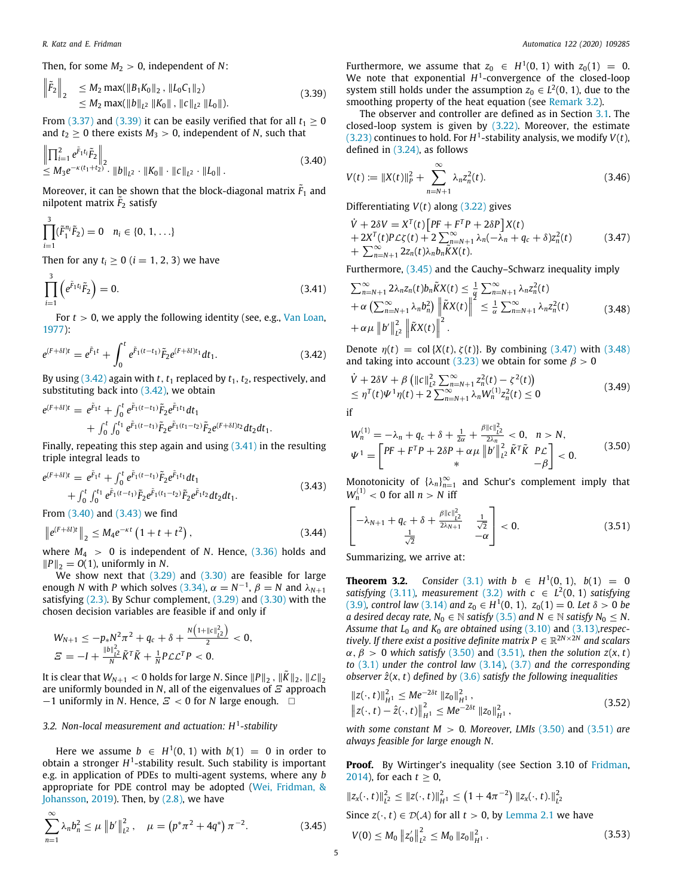Then, for some  $M_2 > 0$ , independent of N:

$$
\begin{aligned}\n\left\|\tilde{F}_2\right\|_2 &\leq M_2 \max(\|B_1 K_0\|_2, \|L_0 C_1\|_2) \\
&\leq M_2 \max(\|b\|_{L^2} \|K_0\|, \|c\|_{L^2} \|L_0\|).\n\end{aligned} \tag{3.39}
$$

From [\(3.37\)](#page-3-13) and ([3.39](#page-4-0)) it can be easily verified that for all  $t_1 \ge 0$ and  $t_2 \ge 0$  there exists  $M_3 > 0$ , independent of *N*, such that

$$
\left\| \prod_{i=1}^{2} e^{\tilde{F}_1 t_i} \tilde{F}_2 \right\|_2
$$
\n
$$
\leq M_3 e^{-\kappa (t_1 + t_2)} \cdot \left\| b \right\|_{L^2} \cdot \left\| K_0 \right\| \cdot \left\| c \right\|_{L^2} \cdot \left\| L_0 \right\|.
$$
\n(3.40)

Moreover, it can be shown that the block-diagonal matrix  $\tilde{F}_1$  and nilpotent matrix  $\tilde{F}_2$  satisfy

$$
\prod_{i=1}^3 (\tilde{F}_1^{n_i} \tilde{F}_2) = 0 \quad n_i \in \{0, 1, \ldots\}
$$

Then for any  $t_i \geq 0$  ( $i = 1, 2, 3$ ) we have

$$
\prod_{i=1}^{3} \left( e^{\tilde{F}_1 t_i} \tilde{F}_2 \right) = 0. \tag{3.41}
$$

For  $t > 0$ , we apply the following identity (see, e.g., [Van Loan,](#page-8-19) [1977\)](#page-8-19):

$$
e^{(F+\delta I)t} = e^{\tilde{F}_1 t} + \int_0^t e^{\tilde{F}_1(t-t_1)} \tilde{F}_2 e^{(F+\delta I)t_1} dt_1.
$$
 (3.42)

By using  $(3.42)$  $(3.42)$  $(3.42)$  again with *t*,  $t_1$  replaced by  $t_1$ ,  $t_2$ , respectively, and substituting back into ([3.42](#page-4-1)), we obtain

$$
e^{(F+\delta I)t} = e^{\tilde{F}_1 t} + \int_0^t e^{\tilde{F}_1 (t-t_1)} \tilde{F}_2 e^{\tilde{F}_1 t_1} dt_1 + \int_0^t \int_0^{t_1} e^{\tilde{F}_1 (t-t_1)} \tilde{F}_2 e^{\tilde{F}_1 (t_1-t_2)} \tilde{F}_2 e^{(F+\delta I)t_2} dt_2 dt_1.
$$

Finally, repeating this step again and using  $(3.41)$  $(3.41)$  $(3.41)$  in the resulting triple integral leads to

$$
e^{(F+\delta I)t} = e^{\tilde{F}_1 t} + \int_0^t e^{\tilde{F}_1(t-t_1)} \tilde{F}_2 e^{\tilde{F}_1 t_1} dt_1 + \int_0^t \int_0^{t_1} e^{\tilde{F}_1(t-t_1)} \tilde{F}_2 e^{\tilde{F}_1 (t_1-t_2)} \tilde{F}_2 e^{\tilde{F}_1 t_2} dt_2 dt_1.
$$
 (3.43)

From [\(3.40\)](#page-4-3) and ([3.43](#page-4-4)) we find

∑∞

$$
\left\|e^{(F+\delta I)t}\right\|_{2} \leq M_{4}e^{-\kappa t}\left(1+t+t^{2}\right),\tag{3.44}
$$

where  $M_4 > 0$  is independent of *N*. Hence,  $(3.36)$  $(3.36)$  $(3.36)$  holds and  $||P||_2$  = *O*(1), uniformly in *N*.

We show next that ([3.29](#page-3-5)) and [\(3.30](#page-3-6)) are feasible for large enough *N* with *P* which solves [\(3.34\)](#page-3-14),  $\alpha = N^{-1}$ ,  $\beta = N$  and  $\lambda_{N+1}$ satisfying ([2.3](#page-1-8)). By Schur complement, ([3.29](#page-3-5)) and ([3.30](#page-3-6)) with the chosen decision variables are feasible if and only if

$$
W_{N+1} \le -p_* N^2 \pi^2 + q_c + \delta + \frac{N(1+\|\mathcal{C}\|_{L^2}^2)}{2} < 0,
$$
  

$$
\mathcal{Z} = -I + \frac{\|\mathcal{B}\|_{L^2}^2}{N} \tilde{K}^T \tilde{K} + \frac{1}{N} P \mathcal{L} \mathcal{L}^T P < 0.
$$

It is clear that  $W_{N+1} < 0$  holds for large  $N.$  Since  $\|P\|_2$  ,  $\|\tilde K\|_2,$   $\|\mathcal{L}\|_2$ are uniformly bounded in *N*, all of the eigenvalues of  $E$  approach  $-1$  uniformly in *N*. Hence,  $E < 0$  for *N* large enough.  $\square$ 

### *3.2. Non-local measurement and actuation: H*<sup>1</sup> *-stability*

<span id="page-4-12"></span>Here we assume  $b \in H^1(0, 1)$  with  $b(1) = 0$  in order to obtain a stronger *H*<sup>1</sup>-stability result. Such stability is important e.g. in application of PDEs to multi-agent systems, where any *b* appropriate for PDE control may be adopted ([Wei, Fridman, &](#page-8-20) [Johansson](#page-8-20), [2019](#page-8-20)). Then, by ([2.8](#page-1-4)), we have

$$
\sum_{n=1}^{\infty} \lambda_n b_n^2 \le \mu \left\| b' \right\|_{L^2}^2, \quad \mu = \left( p^* \pi^2 + 4q^* \right) \pi^{-2}.
$$
 (3.45)

Furthermore, we assume that  $z_0 \in H^1(0, 1)$  with  $z_0(1) = 0$ . We note that exponential  $H^1$ -convergence of the closed-loop system still holds under the assumption  $z_0 \in L^2(0, 1)$ , due to the smoothing property of the heat equation (see [Remark](#page-5-0) [3.2](#page-5-0)).

<span id="page-4-0"></span>The observer and controller are defined as in Section [3.1.](#page-1-9) The closed-loop system is given by ([3.22](#page-3-1)). Moreover, the estimate  $(3.23)$  $(3.23)$  $(3.23)$  continues to hold. For  $H<sup>1</sup>$ -stability analysis, we modify  $V(t)$ , defined in ([3.24\)](#page-3-9), as follows

<span id="page-4-3"></span>
$$
V(t) := \|X(t)\|_{P}^{2} + \sum_{n=N+1}^{\infty} \lambda_{n} z_{n}^{2}(t).
$$
 (3.46)

Differentiating *V*(*t*) along ([3.22](#page-3-1)) gives

<span id="page-4-13"></span><span id="page-4-6"></span>
$$
\dot{V} + 2\delta V = X^{T}(t) \left[ PF + F^{T}P + 2\delta P \right] X(t) \n+ 2X^{T}(t)P\mathcal{L}\zeta(t) + 2\sum_{n=N+1}^{\infty} \lambda_{n}(-\lambda_{n} + q_{c} + \delta)z_{n}^{2}(t) \n+ \sum_{n=N+1}^{\infty} 2z_{n}(t)\lambda_{n}b_{n}\tilde{K}X(t).
$$
\n(3.47)

Furthermore, ([3.45](#page-4-5)) and the Cauchy–Schwarz inequality imply

<span id="page-4-7"></span><span id="page-4-2"></span>
$$
\sum_{n=N+1}^{\infty} 2\lambda_n z_n(t) b_n \widetilde{K}X(t) \leq \frac{1}{\alpha} \sum_{n=N+1}^{\infty} \lambda_n z_n^2(t) \n+ \alpha \left( \sum_{n=N+1}^{\infty} \lambda_n b_n^2 \right) \left\| \widetilde{K}X(t) \right\|^2 \leq \frac{1}{\alpha} \sum_{n=N+1}^{\infty} \lambda_n z_n^2(t) \n+ \alpha \mu \left\| b' \right\|_{L^2}^2 \left\| \widetilde{K}X(t) \right\|^2.
$$
\n(3.48)

<span id="page-4-1"></span>Denote  $\eta(t) = \text{col}\{X(t), \zeta(t)\}\$ . By combining ([3.47](#page-4-6)) with [\(3.48\)](#page-4-7) and taking into account [\(3.23\)](#page-3-4) we obtain for some  $\beta > 0$ 

$$
\dot{V} + 2\delta V + \beta \left( ||c||_{L^2}^2 \sum_{n=N+1}^{\infty} z_n^2(t) - \zeta^2(t) \right) \n\leq \eta^T(t)\Psi^1 \eta(t) + 2 \sum_{n=N+1}^{\infty} \lambda_n W_n^{(1)} z_n^2(t) \leq 0
$$
\n(3.49)

<span id="page-4-8"></span>
$$
W_n^{(1)} = -\lambda_n + q_c + \delta + \frac{1}{2\alpha} + \frac{\beta ||c||_{L^2}^2}{2\lambda_n} < 0, \quad n > N,
$$
  

$$
\Psi^1 = \begin{bmatrix} PF + F^T P + 2\delta P + \alpha \mu ||b'||_{L^2}^2 \tilde{K}^T \tilde{K} & P \mathcal{L} \\ * & -\beta \end{bmatrix} < 0.
$$
 (3.50)

<span id="page-4-4"></span>Monotonicity of  $\{\lambda_n\}_{n=1}^{\infty}$  and Schur's complement imply that  $W_n^{(1)}$  < 0 for all  $n > N$  iff

<span id="page-4-9"></span>
$$
\begin{bmatrix} -\lambda_{N+1} + q_c + \delta + \frac{\beta \|c\|_{L^2}^2}{2\lambda_{N+1}} & \frac{1}{\sqrt{2}}\\ \frac{1}{\sqrt{2}} & -\alpha \end{bmatrix} < 0.
$$
 (3.51)

<span id="page-4-11"></span>Summarizing, we arrive at:

**Theorem 3.2.** Consider [\(3.1\)](#page-1-5) with  $b$  ∈  $H^1(0, 1)$ ,  $b(1) = 0$ *satisfying* [\(3.11\)](#page-2-8), *measurement* [\(3.2\)](#page-1-7) *with*  $c \in L^2(0, 1)$  *satisfying* ([3.9](#page-2-9))*, control law* [\(3.14](#page-2-4)) *and*  $z_0 \in H^1(0, 1)$ ,  $z_0(1) = 0$ *. Let*  $\delta > 0$  *be a desired decay rate,*  $N_0 \in \mathbb{N}$  *satisfy* [\(3.5\)](#page-2-10) *and*  $N \in \mathbb{N}$  *satisfy*  $N_0 \leq N$ . *Assume that L*<sup>0</sup> *and K*<sup>0</sup> *are obtained using* ([3.10](#page-2-11)) and [\(3.13](#page-2-12))*,respectively. If there exist a positive definite matrix*  $P \in \mathbb{R}^{2N \times 2N}$  *and scalars*  $\alpha$ ,  $\beta$  > 0 *which satisfy* [\(3.50\)](#page-4-8) and ([3.51\)](#page-4-9), then the solution  $z(x, t)$ *to* [\(3.1](#page-1-5)) *under the control law* ([3.14\)](#page-2-4)*,* [\(3.7\)](#page-2-0) *and the corresponding observer z*ˆ(*x*, *t*) *defined by* [\(3.6\)](#page-2-3) *satisfy the following inequalities*

<span id="page-4-10"></span>
$$
||z(\cdot, t)||_{H^1}^2 \le Me^{-2\delta t} ||z_0||_{H^1}^2,
$$
  

$$
||z(\cdot, t) - \hat{z}(\cdot, t)||_{H^1}^2 \le Me^{-2\delta t} ||z_0||_{H^1}^2,
$$
 (3.52)

*with some constant M* > 0*. Moreover, LMIs* [\(3.50](#page-4-8)) and [\(3.51\)](#page-4-9) *are always feasible for large enough N.*

**Proof.** By Wirtinger's inequality (see Section 3.10 of [Fridman,](#page-8-21) [2014\)](#page-8-21), for each  $t > 0$ ,

<span id="page-4-5"></span>
$$
||z_{x}(\cdot, t)||_{L^{2}}^{2} \le ||z(\cdot, t)||_{H^{1}}^{2} \le (1 + 4\pi^{-2}) ||z_{x}(\cdot, t)||_{L^{2}}^{2}
$$
  
Since  $z(\cdot, t) \in \mathcal{D}(\mathcal{A})$  for all  $t > 0$ , by Lemma 2.1 we have  

$$
V(0) \le M_{0} ||z_{0}'||_{L^{2}}^{2} \le M_{0} ||z_{0}||_{H^{1}}^{2}.
$$
 (3.53)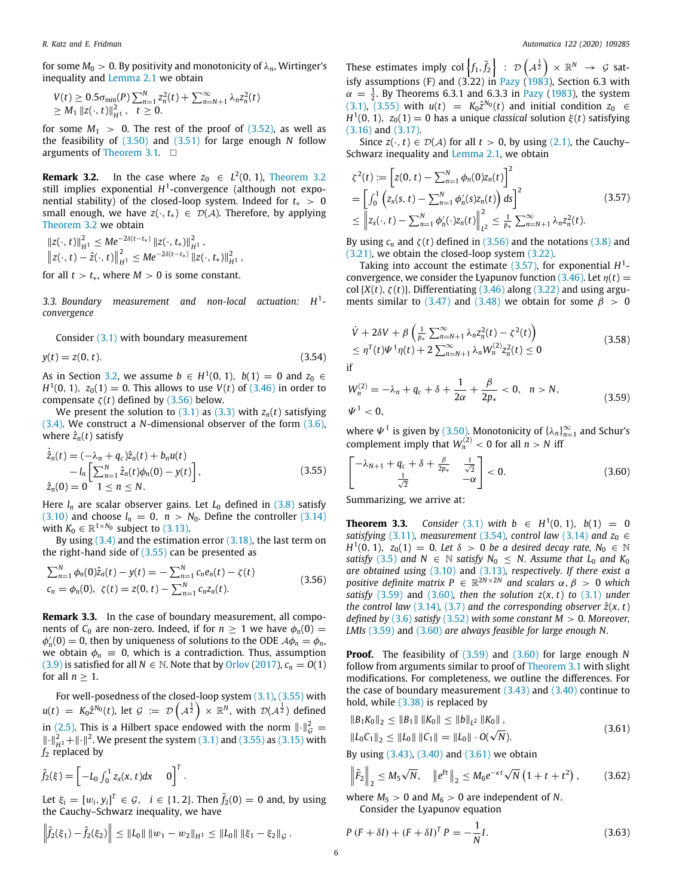for some  $M_0 > 0$ . By positivity and monotonicity of  $\lambda_n$ , Wirtinger's inequality and [Lemma](#page-1-10) [2.1](#page-1-10) we obtain

$$
V(t) \ge 0.5\sigma_{\min}(P) \sum_{n=1}^{N} z_n^2(t) + \sum_{n=N+1}^{\infty} \lambda_n z_n^2(t)
$$
  
\n $\ge M_1 ||z(\cdot, t)||_{H^1}^2, \quad t \ge 0.$ 

for some  $M_1 > 0$ . The rest of the proof of  $(3.52)$  $(3.52)$ , as well as the feasibility of ([3.50](#page-4-8)) and [\(3.51\)](#page-4-9) for large enough *N* follow arguments of [Theorem](#page-3-0) [3.1](#page-3-0). □

<span id="page-5-0"></span>**Remark [3.2](#page-4-11).** In the case where  $z_0 \in L^2(0, 1)$ , [Theorem](#page-4-11) 3.2 still implies exponential *H* 1 -convergence (although not exponential stability) of the closed-loop system. Indeed for  $t_* > 0$ small enough, we have  $z(\cdot, t_*) \in \mathcal{D}(\mathcal{A})$ . Therefore, by applying [Theorem](#page-4-11) [3.2](#page-4-11) we obtain

 $||z(\cdot, t)||_{H^1}^2 \leq Me^{-2\delta(t-t_*)}\,||z(\cdot, t_*)||_{H^1}^2$  $||z(\cdot, t) - \hat{z}(\cdot, t)||_{H^1}^2 \leq Me^{-2\delta(t-t_*)} ||z(\cdot, t_*)||_{H^1}^2$ 

for all  $t > t_*$ , where  $M > 0$  is some constant.

*3.3. Boundary measurement and non-local actuation: H*<sup>1</sup>  *convergence*

Consider ([3.1\)](#page-1-5) with boundary measurement

 $y(t) = z(0, t).$  (3.54)

As in Section [3.2](#page-4-12), we assume *b* ∈ *H*<sup>1</sup>(0, 1), *b*(1) = 0 and  $z_0$  ∈ *H*<sup>1</sup>(0, 1), *z*<sub>0</sub>(1) = 0. This allows to use *V*(*t*) of [\(3.46](#page-4-13)) in order to compensate  $\zeta(t)$  defined by [\(3.56](#page-5-1)) below.

We present the solution to  $(3.1)$  as  $(3.3)$  with  $z_n(t)$  satisfying ([3.4](#page-2-1)). We construct a *N*-dimensional observer of the form [\(3.6\)](#page-2-3), where  $\hat{z}_n(t)$  satisfy

$$
\dot{\hat{z}}_n(t) = (-\lambda_n + q_c)\hat{z}_n(t) + b_n u(t) \n- l_n \left[ \sum_{n=1}^N \hat{z}_n(t) \phi_n(0) - y(t) \right],
$$
\n(3.55)  
\n
$$
\hat{z}_n(0) = 0 \quad 1 \le n \le N.
$$

Here  $l_n$  are scalar observer gains. Let  $L_0$  defined in  $(3.8)$  $(3.8)$  $(3.8)$  satisfy ([3.10](#page-2-11)) and choose  $l_n = 0$ ,  $n > N_0$ . Define the controller [\(3.14\)](#page-2-4) with  $K_0 \in \mathbb{R}^{1 \times N_0}$  subject to [\(3.13\)](#page-2-12).

By using  $(3.4)$  $(3.4)$  $(3.4)$  and the estimation error  $(3.18)$  $(3.18)$  $(3.18)$ , the last term on the right-hand side of [\(3.55\)](#page-5-2) can be presented as

$$
\sum_{n=1}^{N} \phi_n(0)\hat{z}_n(t) - y(t) = -\sum_{n=1}^{N} c_n e_n(t) - \zeta(t)
$$
  
\n
$$
c_n = \phi_n(0), \ \zeta(t) = z(0, t) - \sum_{n=1}^{N} c_n z_n(t).
$$
\n(3.56)

<span id="page-5-9"></span>**Remark 3.3.** In the case of boundary measurement, all components of  $C_0$  are non-zero. Indeed, if for  $n \geq 1$  we have  $\phi_n(0)$  =  $\phi'_n(0) = 0$ , then by uniqueness of solutions to the ODE  $\mathcal{A}\phi_n = \phi_n$ , we obtain  $\phi_n \equiv 0$ , which is a contradiction. Thus, assumption ([3.9](#page-2-9)) is satisfied for all  $N \in \mathbb{N}$ . Note that by [Orlov](#page-8-16) ([2017](#page-8-16)),  $c_n = O(1)$ for all  $n > 1$ .

For well-posedness of the closed-loop system ([3.1](#page-1-5)), ([3.55\)](#page-5-2) with  $u(t) \; = \; K_0 \hat{z}^{N_0}(t), \text{ let } \mathcal{G} \; := \; \mathcal{D}\left(A^{\frac{1}{2}}\right) \times \mathbb{R}^N, \text{ with } \; \mathcal{D}(A^{\frac{1}{2}}) \; \text{defined}$ in [\(2.5\)](#page-1-6). This is a Hilbert space endowed with the norm  $\lVert \cdot \rVert_{\mathcal{G}}^2 =$  $\|\cdot\|_{H^1}^2 + \|\cdot\|^2$ . We present the system ([3.1](#page-1-5)) and ([3.55](#page-5-2)) as [\(3.15\)](#page-2-7) with *f*<sup>2</sup> replaced by

$$
\tilde{f}_2(\xi) = \left[ -L_0 \int_0^1 z_x(x, t) dx \quad 0 \right]^T.
$$

Let  $\xi_i = [w_i, y_i]^T \in \mathcal{G}, \quad i \in \{1, 2\}$ . Then  $\tilde{f}_2(0) = 0$  and, by using the Cauchy–Schwarz inequality, we have

$$
\left\|\tilde{f}_2(\xi_1)-\tilde{f}_2(\xi_2)\right\| \leq \|L_0\| \|w_1-w_2\|_{H^1} \leq \|L_0\| \|\xi_1-\xi_2\|_{\mathcal{G}}.
$$

These estimates imply col $\left\{f_1,\tilde{f}_2\right\}$  :  $\mathcal{D}\left(A^{\frac{1}{2}}\right)\times\mathbb{R}^N$   $\;\rightarrow\;\mathcal{G}$  sat-isfy assumptions (F) and (3.22) in [Pazy](#page-8-18) ([1983\)](#page-8-18), Section 6.3 with  $\alpha = \frac{1}{2}$ . By Theorems 6.3.1 and 6.3.3 in [Pazy](#page-8-18) [\(1983\)](#page-8-18), the system  $(3.1)$  $(3.1)$  $(3.1)$ , ([3.55](#page-5-2)) with *u*(*t*) =  $K_0 \hat{z}^{N_0}(t)$  and initial condition *z*<sub>0</sub> ∈ *H*<sup>1</sup>(0, 1), *z*<sub>0</sub>(1) = 0 has a unique *classical* solution  $\xi(t)$  satisfying ([3.16](#page-2-15)) and ([3.17](#page-2-16)).

Since  $z(\cdot, t) \in \mathcal{D}(\mathcal{A})$  for all  $t > 0$ , by using [\(2.1\)](#page-1-2), the Cauchy-Schwarz inequality and [Lemma](#page-1-10) [2.1,](#page-1-10) we obtain

<span id="page-5-3"></span>
$$
\zeta^{2}(t) := \left[ z(0, t) - \sum_{n=1}^{N} \phi_{n}(0) z_{n}(t) \right]^{2}
$$
\n
$$
= \left[ \int_{0}^{1} \left( z_{x}(s, t) - \sum_{n=1}^{N} \phi'_{n}(s) z_{n}(t) \right) ds \right]^{2}
$$
\n
$$
\leq \left\| z_{x}(\cdot, t) - \sum_{n=1}^{N} \phi'_{n}(\cdot) z_{n}(t) \right\|_{L^{2}}^{2} \leq \frac{1}{p_{*}} \sum_{n=N+1}^{\infty} \lambda_{n} z_{n}^{2}(t).
$$
\n(3.57)

By using  $c_n$  and  $\zeta(t)$  defined in ([3.56](#page-5-1)) and the notations [\(3.8\)](#page-2-13) and ([3.21](#page-3-15)), we obtain the closed-loop system [\(3.22\)](#page-3-1).

Taking into account the estimate  $(3.57)$  $(3.57)$ , for exponential  $H^1$ -convergence, we consider the Lyapunov function [\(3.46](#page-4-13)). Let  $\eta(t)$  = col ${X(t), \zeta(t)}$ . Differentiating [\(3.46\)](#page-4-13) along ([3.22\)](#page-3-1) and using argu-ments similar to [\(3.47\)](#page-4-6) and ([3.48\)](#page-4-7) we obtain for some  $\beta > 0$ 

$$
\dot{V} + 2\delta V + \beta \left( \frac{1}{p_*} \sum_{n=N+1}^{\infty} \lambda_n z_n^2(t) - \zeta^2(t) \right) \n\leq \eta^T(t) \Psi^1 \eta(t) + 2 \sum_{n=N+1}^{\infty} \lambda_n W_n^{(2)} z_n^2(t) \leq 0
$$
\n(3.58)

<span id="page-5-4"></span>if

<span id="page-5-5"></span>
$$
W_n^{(2)} = -\lambda_n + q_c + \delta + \frac{1}{2\alpha} + \frac{\beta}{2p_*} < 0, \quad n > N,
$$
\n
$$
\Psi^1 < 0,
$$
\n(3.59)

where  $\Psi^1$  is given by ([3.50](#page-4-8)). Monotonicity of  $\{\lambda_n\}_{n=1}^{\infty}$  and Schur's complement imply that  $W_n^{(2)} < 0$  for all  $n > N$  iff

<span id="page-5-6"></span><span id="page-5-2"></span>
$$
\begin{bmatrix} -\lambda_{N+1} + q_c + \delta + \frac{\beta}{2p_*} & \frac{1}{\sqrt{2}}\\ \frac{1}{\sqrt{2}} & -\alpha \end{bmatrix} < 0. \tag{3.60}
$$

<span id="page-5-10"></span>Summarizing, we arrive at:

<span id="page-5-1"></span>**Theorem 3.3.** Consider [\(3.1\)](#page-1-5) with  $b$  ∈  $H^1(0, 1)$ ,  $b(1) = 0$ *satisfying* ([3.11\)](#page-2-8)*, measurement* [\(3.54](#page-5-4))*, control law* [\(3.14](#page-2-4)) *and*  $z_0 \in$ *H*<sup>1</sup>(0, 1), *z*<sub>0</sub>(1) = 0*.* Let  $\delta > 0$  *be a desired decay rate,*  $N_0 \in \mathbb{N}$ *satisfy* ([3.5](#page-2-10)) *and*  $N \in \mathbb{N}$  *satisfy*  $N_0 \leq N$ *. Assume that*  $L_0$  *and*  $K_0$ *are obtained using* ([3.10](#page-2-11)) and [\(3.13](#page-2-12))*, respectively. If there exist a positive definite matrix*  $P \in \mathbb{R}^{2N \times 2N}$  and scalars  $\alpha, \beta > 0$  which *satisfy* ([3.59](#page-5-5)) and ([3.60](#page-5-6))*, then the solution*  $z(x, t)$  *to* ([3.1](#page-1-5)) *under the control law* [\(3.14\)](#page-2-4), ([3.7](#page-2-0)) and the corresponding observer  $\hat{z}(x, t)$ *defined by* ([3.6](#page-2-3)) *satisfy* ([3.52\)](#page-4-10) *with some constant M* > 0*. Moreover, LMIs* ([3.59\)](#page-5-5) and ([3.60](#page-5-6)) *are always feasible for large enough N.*

**Proof.** The feasibility of ([3.59](#page-5-5)) and [\(3.60\)](#page-5-6) for large enough *N* follow from arguments similar to proof of [Theorem](#page-3-0) [3.1](#page-3-0) with slight modifications. For completeness, we outline the differences. For the case of boundary measurement  $(3.43)$  and  $(3.40)$  continue to hold, while ([3.38](#page-3-16)) is replaced by

<span id="page-5-7"></span>
$$
||B_1K_0||_2 \le ||B_1|| ||K_0|| \le ||b||_{L^2} ||K_0||,
$$
  

$$
||L_0C_1||_2 \le ||L_0|| ||C_1|| = ||L_0|| \cdot O(\sqrt{N}).
$$
\n(3.61)

By using [\(3.43\)](#page-4-4), ([3.40\)](#page-4-3) and ([3.61](#page-5-7)) we obtain

 $\left\| \tilde{F}_2 \right\|_2 \leq M_5$ √  $\overline{N}$ *,*  $\left\|e^{Ft}\right\|_2 \leq M_6 e^{-\kappa t} \sqrt{2}$  $\sqrt{N}(1 + t + t^2)$  $(3.62)$ 

where  $M_5 > 0$  and  $M_6 > 0$  are independent of N. Consider the Lyapunov equation

<span id="page-5-8"></span>
$$
P (F + \delta I) + (F + \delta I)^T P = -\frac{1}{N} I.
$$
 (3.63)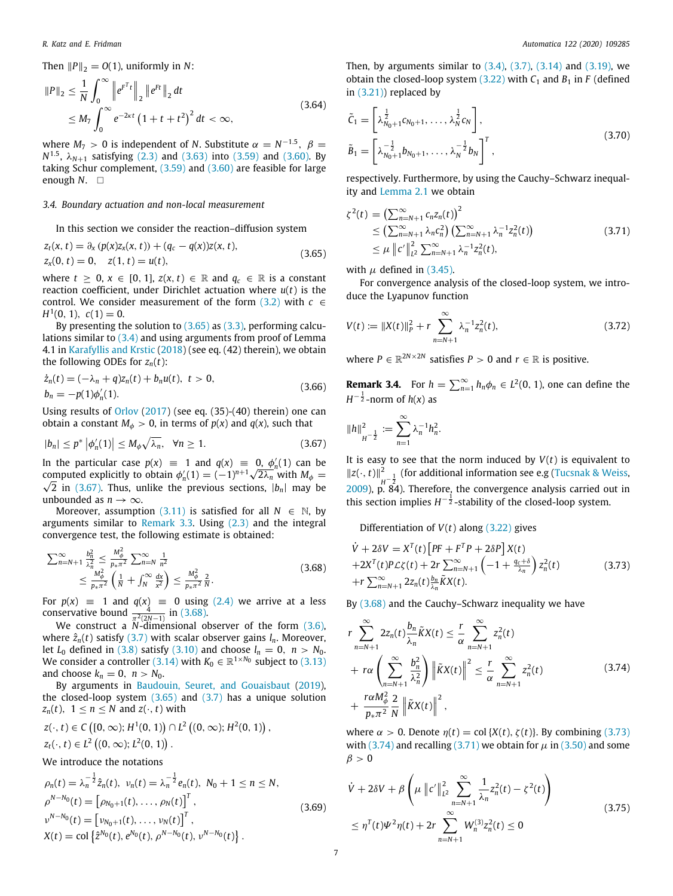Then  $||P||_2 = O(1)$ , uniformly in *N*:

$$
||P||_2 \leq \frac{1}{N} \int_0^\infty ||e^{F^T t}||_2 ||e^{F t}||_2 dt
$$
  
 
$$
\leq M_7 \int_0^\infty e^{-2\kappa t} (1 + t + t^2)^2 dt < \infty,
$$
 (3.64)

where  $M_7 > 0$  is independent of *N*. Substitute  $\alpha = N^{-1.5}$ ,  $\beta =$ *N*<sup>1.5</sup>,  $λ_{N+1}$  satisfying ([2.3](#page-1-8)) and [\(3.63\)](#page-5-8) into ([3.59](#page-5-5)) and ([3.60](#page-5-6)). By taking Schur complement, ([3.59](#page-5-5)) and [\(3.60](#page-5-6)) are feasible for large enough  $N$ .  $\square$ 

#### *3.4. Boundary actuation and non-local measurement*

In this section we consider the reaction–diffusion system

$$
z_t(x, t) = \partial_x (p(x)z_x(x, t)) + (q_c - q(x))z(x, t),
$$
  
\n
$$
z_x(0, t) = 0, \quad z(1, t) = u(t),
$$
\n(3.65)

where  $t \geq 0$ ,  $x \in [0, 1]$ ,  $z(x, t) \in \mathbb{R}$  and  $q_c \in \mathbb{R}$  is a constant reaction coefficient, under Dirichlet actuation where *u*(*t*) is the control. We consider measurement of the form  $(3.2)$  with  $c \in$  $H^1(0, 1), c(1) = 0.$ 

By presenting the solution to  $(3.65)$  $(3.65)$  as  $(3.3)$ , performing calculations similar to ([3.4](#page-2-1)) and using arguments from proof of Lemma 4.1 in [Karafyllis and Krstic](#page-8-22) ([2018\)](#page-8-22) (see eq. (42) therein), we obtain the following ODEs for  $z_n(t)$ :

$$
\dot{z}_n(t) = (-\lambda_n + q)z_n(t) + b_n u(t), \ t > 0, \n b_n = -p(1)\phi'_n(1).
$$
\n(3.66)

Using results of [Orlov](#page-8-16) ([2017\)](#page-8-16) (see eq. (35)-(40) therein) one can obtain a constant  $M_{\phi} > 0$ , in terms of  $p(x)$  and  $q(x)$ , such that

$$
|b_n| \le p^* \left| \phi'_n(1) \right| \le M_\phi \sqrt{\lambda_n}, \quad \forall n \ge 1. \tag{3.67}
$$

In the particular case  $p(x) \equiv 1$  and  $q(x) \equiv 0$ ,  $\phi'_n(1)$  can be in the particular case  $p(x) \equiv 1$  and  $q(x) \equiv 0$ ,  $\phi'_n(1)$  can be computed explicitly to obtain  $\phi'_n(1) = (-1)^{n+1}\sqrt{2\lambda_n}$  with  $M_\phi =$  $\sqrt{2}$  in ([3.67](#page-6-1)). Thus, unlike the previous sections,  $|b_n|$  may be unbounded as  $n \to \infty$ .

Moreover, assumption ([3.11\)](#page-2-8) is satisfied for all  $N \in \mathbb{N}$ , by arguments similar to [Remark](#page-5-9)  $3.3$ . Using  $(2.3)$  and the integral convergence test, the following estimate is obtained:

$$
\sum_{n=N+1}^{\infty} \frac{b_n^2}{\lambda_n^2} \le \frac{M_\phi^2}{p_{*}\pi^2} \sum_{n=N}^{\infty} \frac{1}{n^2} \le \frac{M_\phi^2}{p_{*}\pi^2} \left( \frac{1}{N} + \int_N^{\infty} \frac{dx}{x^2} \right) \le \frac{M_\phi^2}{p_{*}\pi^2} \frac{2}{N}.
$$
\n(3.68)

For  $p(x) \equiv 1$  and  $q(x) \equiv 0$  using ([2.4](#page-1-11)) we arrive at a less conservative bound  $\frac{4}{\pi^2(2N-1)}$  in [\(3.68](#page-6-2)).

We construct a *N*-dimensional observer of the form [\(3.6\)](#page-2-3), where  $\hat{z}_n(t)$  satisfy ([3.7](#page-2-0)) with scalar observer gains  $l_n$ . Moreover, let  $L_0$  defined in [\(3.8\)](#page-2-13) satisfy ([3.10\)](#page-2-11) and choose  $l_n = 0$ ,  $n > N_0$ . We consider a controller [\(3.14\)](#page-2-4) with  $K_0 \in \mathbb{R}^{1 \times N_0}$  subject to [\(3.13\)](#page-2-12) and choose  $k_n = 0$ ,  $n > N_0$ .

By arguments in [Baudouin, Seuret, and Gouaisbaut](#page-8-23) [\(2019\)](#page-8-23), the closed-loop system  $(3.65)$  $(3.65)$  and  $(3.7)$  has a unique solution *z*<sub>*n*</sub>(*t*),  $1 \le n \le N$  and *z*(·, *t*) with

$$
z(\cdot, t) \in C([0, \infty); H^1(0, 1)) \cap L^2((0, \infty); H^2(0, 1)),
$$
  

$$
z_t(\cdot, t) \in L^2((0, \infty); L^2(0, 1)).
$$

We introduce the notations

$$
\rho_n(t) = \lambda_n^{-\frac{1}{2}} \hat{z}_n(t), \quad \nu_n(t) = \lambda_n^{-\frac{1}{2}} e_n(t), \quad N_0 + 1 \le n \le N,
$$
\n
$$
\rho^{N-N_0}(t) = \left[ \rho_{N_0+1}(t), \dots, \rho_N(t) \right]^T,
$$
\n
$$
\nu^{N-N_0}(t) = \left[ \nu_{N_0+1}(t), \dots, \nu_N(t) \right]^T,
$$
\n
$$
X(t) = \text{col}\left\{ \hat{z}^{N_0}(t), e^{N_0}(t), \rho^{N-N_0}(t), \nu^{N-N_0}(t) \right\}.
$$
\n(3.69)

Then, by arguments similar to  $(3.4)$ ,  $(3.7)$ ,  $(3.14)$  $(3.14)$  and  $(3.19)$ , we obtain the closed-loop system  $(3.22)$  $(3.22)$  with  $C_1$  and  $B_1$  in  $F$  (defined in ([3.21](#page-3-15))) replaced by

<span id="page-6-8"></span>
$$
\tilde{C}_1 = \left[ \lambda_{N_0+1}^{\frac{1}{2}} c_{N_0+1}, \dots, \lambda_N^{\frac{1}{2}} c_N \right],
$$
\n
$$
\tilde{B}_1 = \left[ \lambda_{N_0+1}^{-\frac{1}{2}} b_{N_0+1}, \dots, \lambda_N^{-\frac{1}{2}} b_N \right]^T,
$$
\n(3.70)

respectively. Furthermore, by using the Cauchy–Schwarz inequality and [Lemma](#page-1-10) [2.1](#page-1-10) we obtain

<span id="page-6-5"></span>
$$
\zeta^{2}(t) = \left(\sum_{n=N+1}^{\infty} c_{n} z_{n}(t)\right)^{2}
$$
  
\n
$$
\leq \left(\sum_{n=N+1}^{\infty} \lambda_{n} c_{n}^{2}\right) \left(\sum_{n=N+1}^{\infty} \lambda_{n}^{-1} z_{n}^{2}(t)\right)
$$
  
\n
$$
\leq \mu \left\|c'\right\|_{L^{2}}^{2} \sum_{n=N+1}^{\infty} \lambda_{n}^{-1} z_{n}^{2}(t), \qquad (3.71)
$$

<span id="page-6-0"></span>with  $\mu$  defined in [\(3.45\)](#page-4-5).

For convergence analysis of the closed-loop system, we introduce the Lyapunov function

<span id="page-6-6"></span>
$$
V(t) := \|X(t)\|_{P}^{2} + r \sum_{n=N+1}^{\infty} \lambda_{n}^{-1} z_{n}^{2}(t),
$$
\n(3.72)

where  $P \in \mathbb{R}^{2N \times 2N}$  satisfies  $P > 0$  and  $r \in \mathbb{R}$  is positive.

<span id="page-6-7"></span>**Remark 3.4.** For  $h = \sum_{n=1}^{\infty} h_n \phi_n \in L^2(0, 1)$ , one can define the  $H^{-\frac{1}{2}}$ -norm of  $h(x)$  as

$$
||h||_{H^{-\frac{1}{2}}}^{2} := \sum_{n=1}^{\infty} \lambda_n^{-1} h_n^{2}.
$$

<span id="page-6-1"></span>It is easy to see that the norm induced by  $V(t)$  is equivalent to  $||z(·, t)||^2$ <sub>*i*1- $\frac{1}{4}$ </sub> (for additional information see e.g [\(Tucsnak & Weiss,](#page-8-17) [2009\)](#page-8-17),  $\mu^2$ <sup>*H*</sup> $_2$ <sup>2</sup> $_3$ . Therefore, the convergence analysis carried out in this section implies  $H^{-\frac{1}{2}}$ -stability of the closed-loop system.

<span id="page-6-3"></span>Differentiation of *V*(*t*) along [\(3.22\)](#page-3-1) gives

<span id="page-6-2"></span>
$$
\dot{V} + 2\delta V = X^{T}(t) \left[ PF + F^{T}P + 2\delta P \right] X(t)
$$
  
+2X<sup>T</sup>(t)P $\mathcal{L}\zeta(t) + 2r \sum_{n=N+1}^{\infty} \left( -1 + \frac{q_c + \delta}{\lambda_n} \right) z_n^{2}(t)$   
+r $\sum_{n=N+1}^{\infty} 2z_n(t) \frac{b_n}{\lambda_n} \tilde{K}X(t).$  (3.73)

By ([3.68](#page-6-2)) and the Cauchy–Schwarz inequality we have

<span id="page-6-4"></span>
$$
r \sum_{n=N+1}^{\infty} 2z_n(t) \frac{b_n}{\lambda_n} \tilde{K}X(t) \leq \frac{r}{\alpha} \sum_{n=N+1}^{\infty} z_n^2(t)
$$
  
+ 
$$
r \alpha \left( \sum_{n=N+1}^{\infty} \frac{b_n^2}{\lambda_n^2} \right) \left\| \tilde{K}X(t) \right\|^2 \leq \frac{r}{\alpha} \sum_{n=N+1}^{\infty} z_n^2(t)
$$
  
+ 
$$
\frac{r \alpha M_\phi^2}{p_* \pi^2} \frac{2}{N} \left\| \tilde{K}X(t) \right\|^2,
$$
 (3.74)

where  $\alpha > 0$ . Denote  $\eta(t) = \text{col } \{X(t), \zeta(t)\}$ . By combining [\(3.73\)](#page-6-3) with [\(3.74\)](#page-6-4) and recalling ([3.71](#page-6-5)) we obtain for  $\mu$  in ([3.50](#page-4-8)) and some  $\beta > 0$ 

$$
\dot{V} + 2\delta V + \beta \left( \mu \|c'\|_{L^2}^2 \sum_{n=N+1}^{\infty} \frac{1}{\lambda_n} z_n^2(t) - \zeta^2(t) \right)
$$
\n
$$
\leq \eta^T(t)\Psi^2 \eta(t) + 2r \sum_{n=N+1}^{\infty} W_n^{(3)} z_n^2(t) \leq 0
$$
\n(3.75)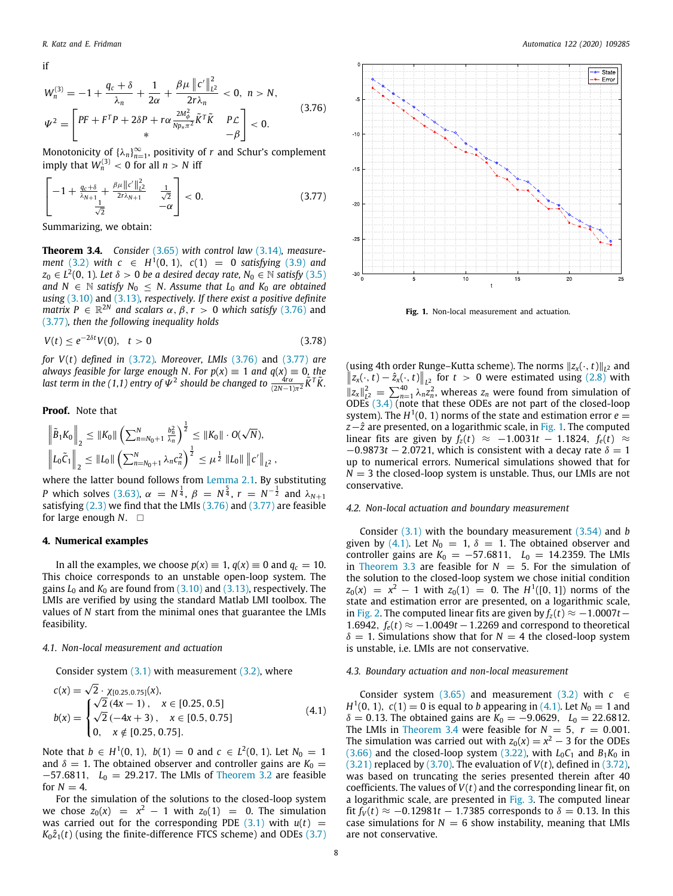if

 $W_n^{(3)} = -1 + \frac{q_c + \delta}{\lambda}$  $\frac{1+\delta}{\lambda_n}+\frac{1}{2\alpha}$  $rac{1}{2\alpha} + \frac{\beta\mu \left\|c'\right\|_L^2}{2r\lambda_n}$ *L* 2  $\frac{\ln \ln L^2}{2r\lambda_n} < 0, \quad n > N,$  $\Psi^2 =$  $\int \nolimits_{\mathcal{P}} \nolimits{PF} + F^T P + 2\delta P + r\alpha \frac{2M_\phi^2}{Np_*\pi^2} \tilde{K}^T \tilde{K} \quad P \mathcal{L}$  $*$   $-\beta$ ]  $< 0.$ (3.76)

Monotonicity of  $\{\lambda_n\}_{n=1}^{\infty}$ , positivity of *r* and Schur's complement imply that  $W_n^{(3)} < 0$  for all  $n > N$  iff

$$
\left[-1+\frac{q_c+\delta}{\lambda_{N+1}}+\frac{\beta\mu\|c'\|_{L^2}^2}{2r\lambda_{N+1}}\quad\frac{1}{\sqrt{2}}\right]<0.
$$
\n(3.77)

<span id="page-7-5"></span>Summarizing, we obtain:

**Theorem 3.4.** *Consider* [\(3.65\)](#page-6-0) *with control law* ([3.14](#page-2-4))*, measurement* ([3.2\)](#page-1-7) *with*  $c ∈ H<sup>1</sup>(0, 1), c(1) = 0$  *satisfying* ([3.9](#page-2-9)) *and*  $z_0 \in L^2(0, 1)$ *. Let*  $\delta > 0$  *be a desired decay rate,*  $N_0 \in \mathbb{N}$  *satisfy*  $(3.5)$ *and*  $N$  ∈  $N$  *satisfy*  $N_0$  ≤  $N$ *. Assume that*  $L_0$  *and*  $K_0$  *are obtained using* ([3.10](#page-2-11)) and [\(3.13\)](#page-2-12)*, respectively. If there exist a positive definite matrix*  $P \in \mathbb{R}^{2N}$  *and scalars*  $\alpha, \beta, r > 0$  *which satisfy* ([3.76](#page-7-1)) and ([3.77](#page-7-2))*, then the following inequality holds*

$$
V(t) \le e^{-2\delta t} V(0), \quad t > 0 \tag{3.78}
$$

*for V*(*t*) *defined in* [\(3.72\)](#page-6-6)*. Moreover, LMIs* [\(3.76\)](#page-7-1) and [\(3.77\)](#page-7-2) *are always feasible for large enough N. For*  $p(x) \equiv 1$  *and*  $q(x) \equiv 0$ *, the last term in the (1,1) entry of*  $\Psi^2$  should be changed to  $\frac{4r\alpha}{(2N-1)\pi^2}\tilde{K}^T\tilde{K}$ .

#### **Proof.** Note that

$$
\begin{aligned} & \left\| \tilde{B}_1 K_0 \right\|_2 \leq \| K_0 \| \left( \sum_{n=N_0+1}^N \frac{b_n^2}{\lambda_n} \right)^{\frac{1}{2}} \leq \| K_0 \| \cdot O(\sqrt{N}), \\ & \left\| L_0 \tilde{C}_1 \right\|_2 \leq \| L_0 \| \left( \sum_{n=N_0+1}^N \lambda_n c_n^2 \right)^{\frac{1}{2}} \leq \mu^{\frac{1}{2}} \left\| L_0 \| \left\| c' \right\|_{L^2}, \end{aligned}
$$

where the latter bound follows from [Lemma](#page-1-10) [2.1.](#page-1-10) By substituting *P* which solves ([3.63](#page-5-8)),  $\alpha = N^{\frac{1}{4}}$ ,  $\beta = N^{\frac{5}{4}}$ ,  $r = N^{-\frac{1}{2}}$  and  $\lambda_{N+1}$ satisfying [\(2.3\)](#page-1-8) we find that the LMIs ([3.76](#page-7-1)) and ([3.77](#page-7-2)) are feasible for large enough *N*. □

#### **4. Numerical examples**

<span id="page-7-0"></span>In all the examples, we choose  $p(x) \equiv 1$ ,  $q(x) \equiv 0$  and  $q_c = 10$ . This choice corresponds to an unstable open-loop system. The gains *L*<sup>0</sup> and *K*<sup>0</sup> are found from ([3.10](#page-2-11)) and ([3.13](#page-2-12)), respectively. The LMIs are verified by using the standard Matlab LMI toolbox. The values of *N* start from the minimal ones that guarantee the LMIs feasibility.

#### *4.1. Non-local measurement and actuation*

Consider system  $(3.1)$  $(3.1)$  $(3.1)$  with measurement  $(3.2)$ , where √

$$
c(x) = \sqrt{2} \cdot \chi_{[0.25, 0.75]}(x),
$$
  
\n
$$
b(x) = \begin{cases} \sqrt{2} (4x - 1), & x \in [0.25, 0.5] \\ \sqrt{2} (-4x + 3), & x \in [0.5, 0.75] \\ 0, & x \notin [0.25, 0.75]. \end{cases}
$$
\n(4.1)

Note that *b* ∈ *H*<sup>1</sup>(0, 1), *b*(1) = 0 and *c* ∈ *L*<sup>2</sup>(0, 1). Let *N*<sub>0</sub> = 1 and  $\delta = 1$ . The obtained observer and controller gains are  $K_0 =$ −57.6811, *L*<sub>0</sub> = 29.217. The LMIs of [Theorem](#page-4-11) [3.2](#page-4-11) are feasible for  $N = 4$ .

For the simulation of the solutions to the closed-loop system we chose  $z_0(x) = x^2 - 1$  with  $z_0(1) = 0$ . The simulation was carried out for the corresponding PDE  $(3.1)$  with  $u(t)$  =  $K_0\hat{z}_1(t)$  (using the finite-difference FTCS scheme) and ODEs [\(3.7\)](#page-2-0)

<span id="page-7-2"></span><span id="page-7-1"></span>

**Fig. 1.** Non-local measurement and actuation.

<span id="page-7-3"></span>(using 4th order Runge–Kutta scheme). The norms <sup>∥</sup>*zx*(·, *<sup>t</sup>*)∥*<sup>L</sup>* <sup>2</sup> and  $||z_x(\cdot, t) - \hat{z}_x(\cdot, t)||_{L^2}$  for  $t > 0$  were estimated using ([2.8](#page-1-4)) with  $\|z_x\|_{L^2}^2 = \sum_{n=1}^{40} \lambda_n z_n^2$ , whereas  $z_n$  were found from simulation of ODEs ([3.4](#page-2-1)) (note that these ODEs are not part of the closed-loop system). The  $H^1(0, 1)$  norms of the state and estimation error  $e =$ *z*− $\hat{z}$  are presented, on a logarithmic scale, in [Fig.](#page-7-3) [1.](#page-7-3) The computed linear fits are given by  $f_z(t) \approx -1.0031t - 1.1824$ ,  $f_e(t) \approx$  $-0.9873t - 2.0721$ , which is consistent with a decay rate  $\delta = 1$ up to numerical errors. Numerical simulations showed that for  $N = 3$  the closed-loop system is unstable. Thus, our LMIs are not conservative.

# *4.2. Non-local actuation and boundary measurement*

Consider ([3.1](#page-1-5)) with the boundary measurement ([3.54](#page-5-4)) and *b* given by [\(4.1\)](#page-7-4). Let  $N_0 = 1$ ,  $\delta = 1$ . The obtained observer and controller gains are  $K_0 = -57.6811$ ,  $L_0 = 14.2359$ . The LMIs in [Theorem](#page-5-10) [3.3](#page-5-10) are feasible for  $N = 5$ . For the simulation of the solution to the closed-loop system we chose initial condition  $z_0(x) = x^2 - 1$  with  $z_0(1) = 0$ . The  $H^1([0, 1])$  norms of the state and estimation error are presented, on a logarithmic scale, in [Fig.](#page-8-24) [2](#page-8-24). The computed linear fits are given by  $f_z(t)$  ≈ −1.0007*t* − 1.6942,  $f_e(t) \approx -1.0049t - 1.2269$  and correspond to theoretical  $\delta = 1$ . Simulations show that for  $N = 4$  the closed-loop system is unstable, i.e. LMIs are not conservative.

#### *4.3. Boundary actuation and non-local measurement*

<span id="page-7-4"></span>Consider system  $(3.65)$  and measurement  $(3.2)$  $(3.2)$  $(3.2)$  with  $c \in$ *H*<sup>1</sup>(0, 1), *c*(1) = 0 is equal to *b* appearing in [\(4.1\)](#page-7-4). Let *N*<sup>0</sup> = 1 and  $\delta = 0.13$ . The obtained gains are  $K_0 = -9.0629$ ,  $L_0 = 22.6812$ . The LMIs in [Theorem](#page-7-5) [3.4](#page-7-5) were feasible for  $N = 5$ ,  $r = 0.001$ . The simulation was carried out with  $z_0(x) = x^2 - 3$  for the ODEs ([3.66](#page-6-7)) and the closed-loop system ([3.22\)](#page-3-1), with  $L_0C_1$  and  $B_1K_0$  in  $(3.21)$  $(3.21)$  $(3.21)$  replaced by  $(3.70)$  $(3.70)$  $(3.70)$ . The evaluation of  $V(t)$ , defined in  $(3.72)$ , was based on truncating the series presented therein after 40 coefficients. The values of *V*(*t*) and the corresponding linear fit, on a logarithmic scale, are presented in [Fig.](#page-8-25) [3](#page-8-25). The computed linear fit  $f_V(t)$  ≈ −0.12981*t* − 1.7385 corresponds to  $\delta$  = 0.13. In this case simulations for  $N = 6$  show instability, meaning that LMIs are not conservative.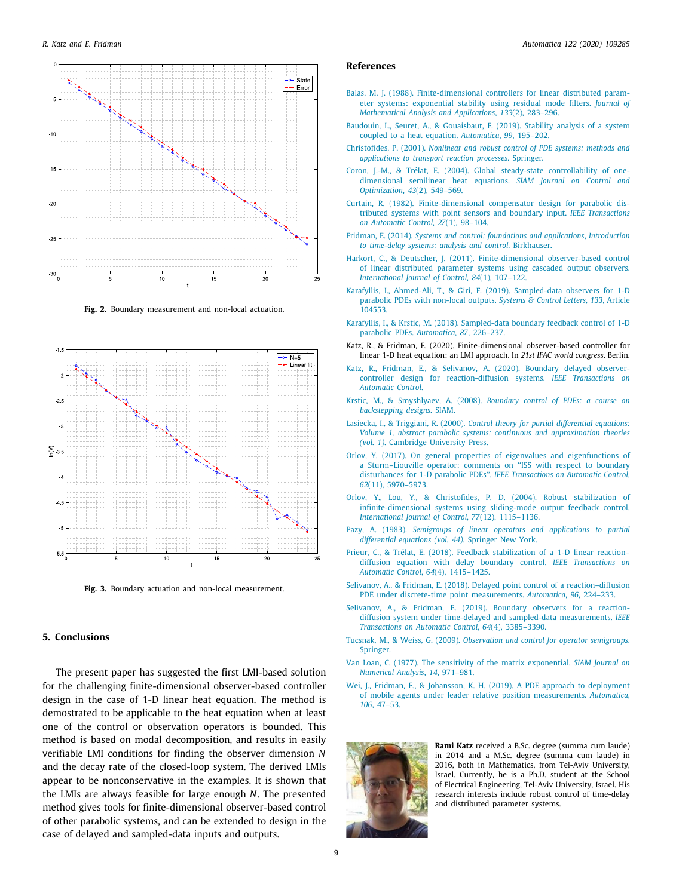

**Fig. 2.** Boundary measurement and non-local actuation.

<span id="page-8-24"></span>

<span id="page-8-25"></span>**Fig. 3.** Boundary actuation and non-local measurement.

# **5. Conclusions**

<span id="page-8-14"></span>The present paper has suggested the first LMI-based solution for the challenging finite-dimensional observer-based controller design in the case of 1-D linear heat equation. The method is demostrated to be applicable to the heat equation when at least one of the control or observation operators is bounded. This method is based on modal decomposition, and results in easily verifiable LMI conditions for finding the observer dimension *N* and the decay rate of the closed-loop system. The derived LMIs appear to be nonconservative in the examples. It is shown that the LMIs are always feasible for large enough *N*. The presented method gives tools for finite-dimensional observer-based control of other parabolic systems, and can be extended to design in the case of delayed and sampled-data inputs and outputs.

#### **References**

- <span id="page-8-7"></span>[Balas, M. J. \(1988\). Finite-dimensional controllers for linear distributed param](http://refhub.elsevier.com/S0005-1098(20)30484-2/sb1)[eter systems: exponential stability using residual mode filters.](http://refhub.elsevier.com/S0005-1098(20)30484-2/sb1) *Journal of [Mathematical Analysis and Applications](http://refhub.elsevier.com/S0005-1098(20)30484-2/sb1)*, *133*(2), 283–296.
- <span id="page-8-23"></span>[Baudouin, L., Seuret, A., & Gouaisbaut, F. \(2019\). Stability analysis of a system](http://refhub.elsevier.com/S0005-1098(20)30484-2/sb2) [coupled to a heat equation.](http://refhub.elsevier.com/S0005-1098(20)30484-2/sb2) *Automatica*, *99*, 195–202.
- <span id="page-8-8"></span>Christofides, P. (2001). *[Nonlinear and robust control of PDE systems: methods and](http://refhub.elsevier.com/S0005-1098(20)30484-2/sb3) [applications to transport reaction processes](http://refhub.elsevier.com/S0005-1098(20)30484-2/sb3)*. Springer.
- <span id="page-8-10"></span>[Coron, J.-M., & Trélat, E. \(2004\). Global steady-state controllability of one](http://refhub.elsevier.com/S0005-1098(20)30484-2/sb4)[dimensional semilinear heat equations.](http://refhub.elsevier.com/S0005-1098(20)30484-2/sb4) *SIAM Journal on Control and Optimization*, *43*[\(2\), 549–569.](http://refhub.elsevier.com/S0005-1098(20)30484-2/sb4)
- <span id="page-8-1"></span>[Curtain, R. \(1982\). Finite-dimensional compensator design for parabolic dis](http://refhub.elsevier.com/S0005-1098(20)30484-2/sb5)[tributed systems with point sensors and boundary input.](http://refhub.elsevier.com/S0005-1098(20)30484-2/sb5) *IEEE Transactions [on Automatic Control](http://refhub.elsevier.com/S0005-1098(20)30484-2/sb5)*, *27*(1), 98–104.
- <span id="page-8-21"></span>Fridman, E. (2014). *[Systems and control: foundations and applications](http://refhub.elsevier.com/S0005-1098(20)30484-2/sb6)*, *Introduction [to time-delay systems: analysis and control](http://refhub.elsevier.com/S0005-1098(20)30484-2/sb6)*. Birkhauser.
- <span id="page-8-9"></span>[Harkort, C., & Deutscher, J. \(2011\). Finite-dimensional observer-based control](http://refhub.elsevier.com/S0005-1098(20)30484-2/sb7) [of linear distributed parameter systems using cascaded output observers.](http://refhub.elsevier.com/S0005-1098(20)30484-2/sb7) *[International Journal of Control](http://refhub.elsevier.com/S0005-1098(20)30484-2/sb7)*, *84*(1), 107–122.
- <span id="page-8-11"></span>[Karafyllis, I., Ahmed-Ali, T., & Giri, F. \(2019\). Sampled-data observers for 1-D](http://refhub.elsevier.com/S0005-1098(20)30484-2/sb8) [parabolic PDEs with non-local outputs.](http://refhub.elsevier.com/S0005-1098(20)30484-2/sb8) *Systems & Control Letters*, *133*, Article [104553.](http://refhub.elsevier.com/S0005-1098(20)30484-2/sb8)
- <span id="page-8-22"></span>[Karafyllis, I., & Krstic, M. \(2018\). Sampled-data boundary feedback control of 1-D](http://refhub.elsevier.com/S0005-1098(20)30484-2/sb9) [parabolic PDEs.](http://refhub.elsevier.com/S0005-1098(20)30484-2/sb9) *Automatica*, *87*, 226–237.
- <span id="page-8-15"></span>Katz, R., & Fridman, E. (2020). Finite-dimensional observer-based controller for linear 1-D heat equation: an LMI approach. In *21st IFAC world congress*. Berlin.
- <span id="page-8-2"></span>[Katz, R., Fridman, E., & Selivanov, A. \(2020\). Boundary delayed observer](http://refhub.elsevier.com/S0005-1098(20)30484-2/sb11)[controller design for reaction-diffusion systems.](http://refhub.elsevier.com/S0005-1098(20)30484-2/sb11) *IEEE Transactions on [Automatic Control](http://refhub.elsevier.com/S0005-1098(20)30484-2/sb11)*.
- <span id="page-8-5"></span>Krstic, M., & Smyshlyaev, A. (2008). *[Boundary control of PDEs: a course on](http://refhub.elsevier.com/S0005-1098(20)30484-2/sb12) [backstepping designs](http://refhub.elsevier.com/S0005-1098(20)30484-2/sb12)*. SIAM.
- <span id="page-8-3"></span>Lasiecka, I., & Triggiani, R. (2000). *[Control theory for partial differential equations:](http://refhub.elsevier.com/S0005-1098(20)30484-2/sb13) [Volume 1, abstract parabolic systems: continuous and approximation theories](http://refhub.elsevier.com/S0005-1098(20)30484-2/sb13) (vol. 1)*[. Cambridge University Press.](http://refhub.elsevier.com/S0005-1098(20)30484-2/sb13)
- <span id="page-8-16"></span>[Orlov, Y. \(2017\). On general properties of eigenvalues and eigenfunctions of](http://refhub.elsevier.com/S0005-1098(20)30484-2/sb14) [a Sturm–Liouville operator: comments on ''ISS with respect to boundary](http://refhub.elsevier.com/S0005-1098(20)30484-2/sb14) disturbances for 1-D parabolic PDEs''. *[IEEE Transactions on Automatic Control](http://refhub.elsevier.com/S0005-1098(20)30484-2/sb14)*, *62*[\(11\), 5970–5973.](http://refhub.elsevier.com/S0005-1098(20)30484-2/sb14)
- <span id="page-8-4"></span>[Orlov, Y., Lou, Y., & Christofides, P. D. \(2004\). Robust stabilization of](http://refhub.elsevier.com/S0005-1098(20)30484-2/sb15) [infinite-dimensional systems using sliding-mode output feedback control.](http://refhub.elsevier.com/S0005-1098(20)30484-2/sb15) *[International Journal of Control](http://refhub.elsevier.com/S0005-1098(20)30484-2/sb15)*, *77*(12), 1115–1136.
- <span id="page-8-18"></span>Pazy, A. (1983). *[Semigroups of linear operators and applications to partial](http://refhub.elsevier.com/S0005-1098(20)30484-2/sb16) [differential equations \(vol. 44\)](http://refhub.elsevier.com/S0005-1098(20)30484-2/sb16)*. Springer New York.
- <span id="page-8-12"></span>[Prieur, C., & Trélat, E. \(2018\). Feedback stabilization of a 1-D linear reaction–](http://refhub.elsevier.com/S0005-1098(20)30484-2/sb17) [diffusion equation with delay boundary control.](http://refhub.elsevier.com/S0005-1098(20)30484-2/sb17) *IEEE Transactions on [Automatic Control](http://refhub.elsevier.com/S0005-1098(20)30484-2/sb17)*, *64*(4), 1415–1425.
- <span id="page-8-6"></span>[Selivanov, A., & Fridman, E. \(2018\). Delayed point control of a reaction–diffusion](http://refhub.elsevier.com/S0005-1098(20)30484-2/sb18) [PDE under discrete-time point measurements.](http://refhub.elsevier.com/S0005-1098(20)30484-2/sb18) *Automatica*, *96*, 224–233.
- <span id="page-8-13"></span>[Selivanov, A., & Fridman, E. \(2019\). Boundary observers for a reaction](http://refhub.elsevier.com/S0005-1098(20)30484-2/sb19)[diffusion system under time-delayed and sampled-data measurements.](http://refhub.elsevier.com/S0005-1098(20)30484-2/sb19) *IEEE [Transactions on Automatic Control](http://refhub.elsevier.com/S0005-1098(20)30484-2/sb19)*, *64*(4), 3385–3390.
- <span id="page-8-17"></span>Tucsnak, M., & Weiss, G. (2009). *[Observation and control for operator semigroups](http://refhub.elsevier.com/S0005-1098(20)30484-2/sb20)*. **Springer**
- <span id="page-8-19"></span>[Van Loan, C. \(1977\). The sensitivity of the matrix exponential.](http://refhub.elsevier.com/S0005-1098(20)30484-2/sb21) *SIAM Journal on [Numerical Analysis](http://refhub.elsevier.com/S0005-1098(20)30484-2/sb21)*, *14*, 971–981.
- <span id="page-8-20"></span>[Wei, J., Fridman, E., & Johansson, K. H. \(2019\). A PDE approach to deployment](http://refhub.elsevier.com/S0005-1098(20)30484-2/sb22) [of mobile agents under leader relative position measurements.](http://refhub.elsevier.com/S0005-1098(20)30484-2/sb22) *Automatica*, *106*[, 47–53.](http://refhub.elsevier.com/S0005-1098(20)30484-2/sb22)

<span id="page-8-0"></span>

**Rami Katz** received a B.Sc. degree (summa cum laude) in 2014 and a M.Sc. degree (summa cum laude) in 2016, both in Mathematics, from Tel-Aviv University, Israel. Currently, he is a Ph.D. student at the School of Electrical Engineering, Tel-Aviv University, Israel. His research interests include robust control of time-delay and distributed parameter systems.